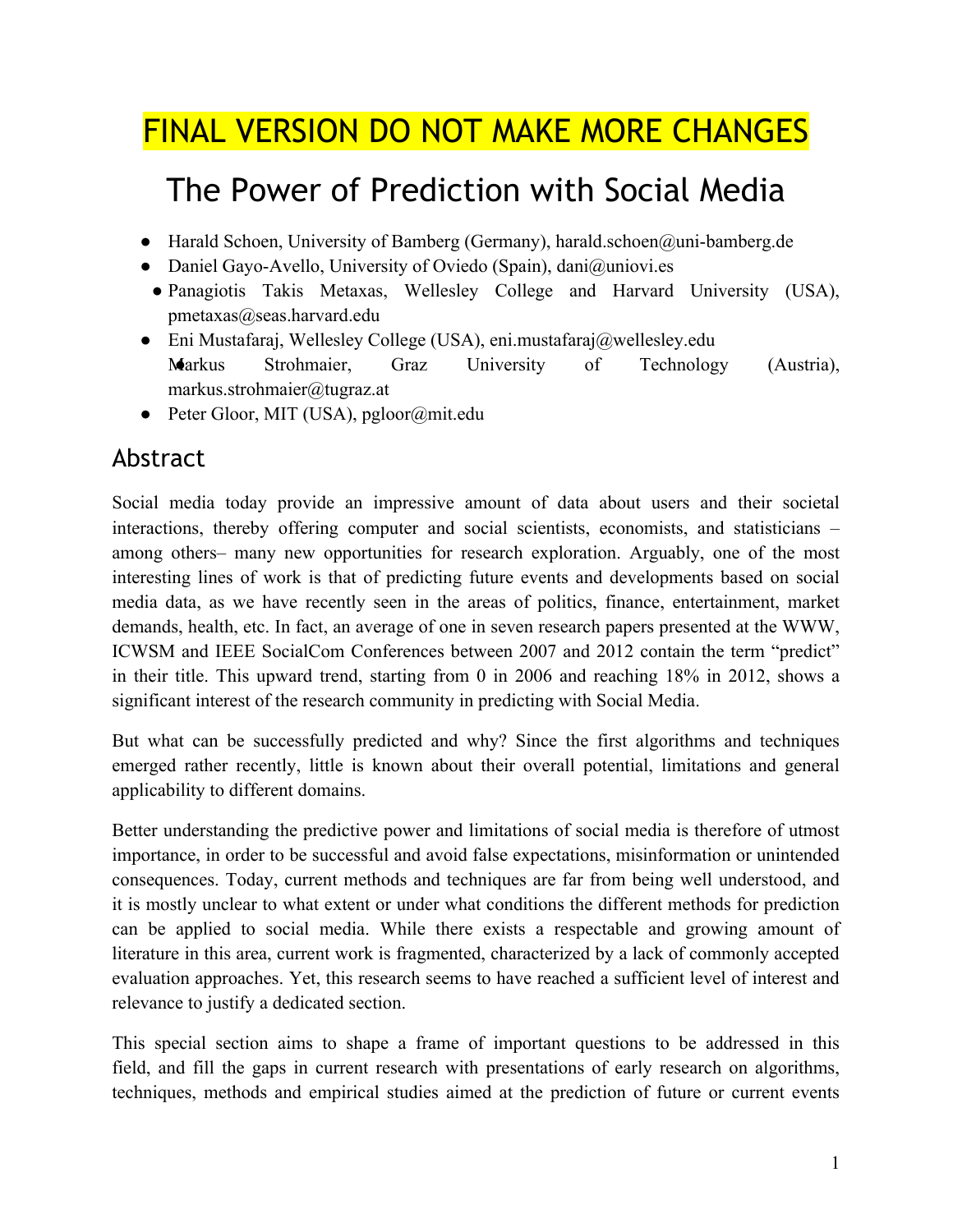# The Power of Prediction with Social Media

- Harald Schoen, University of Bamberg (Germany), harald.schoen@uni-bamberg.de
- Daniel Gayo-Avello, University of Oviedo (Spain), dani@uniovi.es
- Panagiotis Takis Metaxas, Wellesley College and Harvard University (USA), pmetaxas@seas.harvard.edu
- Eni Mustafaraj, Wellesley College (USA), eni.mustafaraj@wellesley.edu Markus Strohmaier, Graz University of Technology (Austria), markus.strohmaier@tugraz.at
- Peter Gloor, MIT (USA), pgloor@mit.edu

### Abstract

Social media today provide an impressive amount of data about users and their societal interactions, thereby offering computer and social scientists, economists, and statisticians – among others– many new opportunities for research exploration. Arguably, one of the most interesting lines of work is that of predicting future events and developments based on social media data, as we have recently seen in the areas of politics, finance, entertainment, market demands, health, etc. In fact, an average of one in seven research papers presented at the WWW, ICWSM and IEEE SocialCom Conferences between 2007 and 2012 contain the term "predict" in their title. This upward trend, starting from 0 in 2006 and reaching 18% in 2012, shows a significant interest of the research community in predicting with Social Media.

But what can be successfully predicted and why? Since the first algorithms and techniques emerged rather recently, little is known about their overall potential, limitations and general applicability to different domains.

Better understanding the predictive power and limitations of social media is therefore of utmost importance, in order to be successful and avoid false expectations, misinformation or unintended consequences. Today, current methods and techniques are far from being well understood, and it is mostly unclear to what extent or under what conditions the different methods for prediction can be applied to social media. While there exists a respectable and growing amount of literature in this area, current work is fragmented, characterized by a lack of commonly accepted evaluation approaches. Yet, this research seems to have reached a sufficient level of interest and relevance to justify a dedicated section.

This special section aims to shape a frame of important questions to be addressed in this field, and fill the gaps in current research with presentations of early research on algorithms, techniques, methods and empirical studies aimed at the prediction of future or current events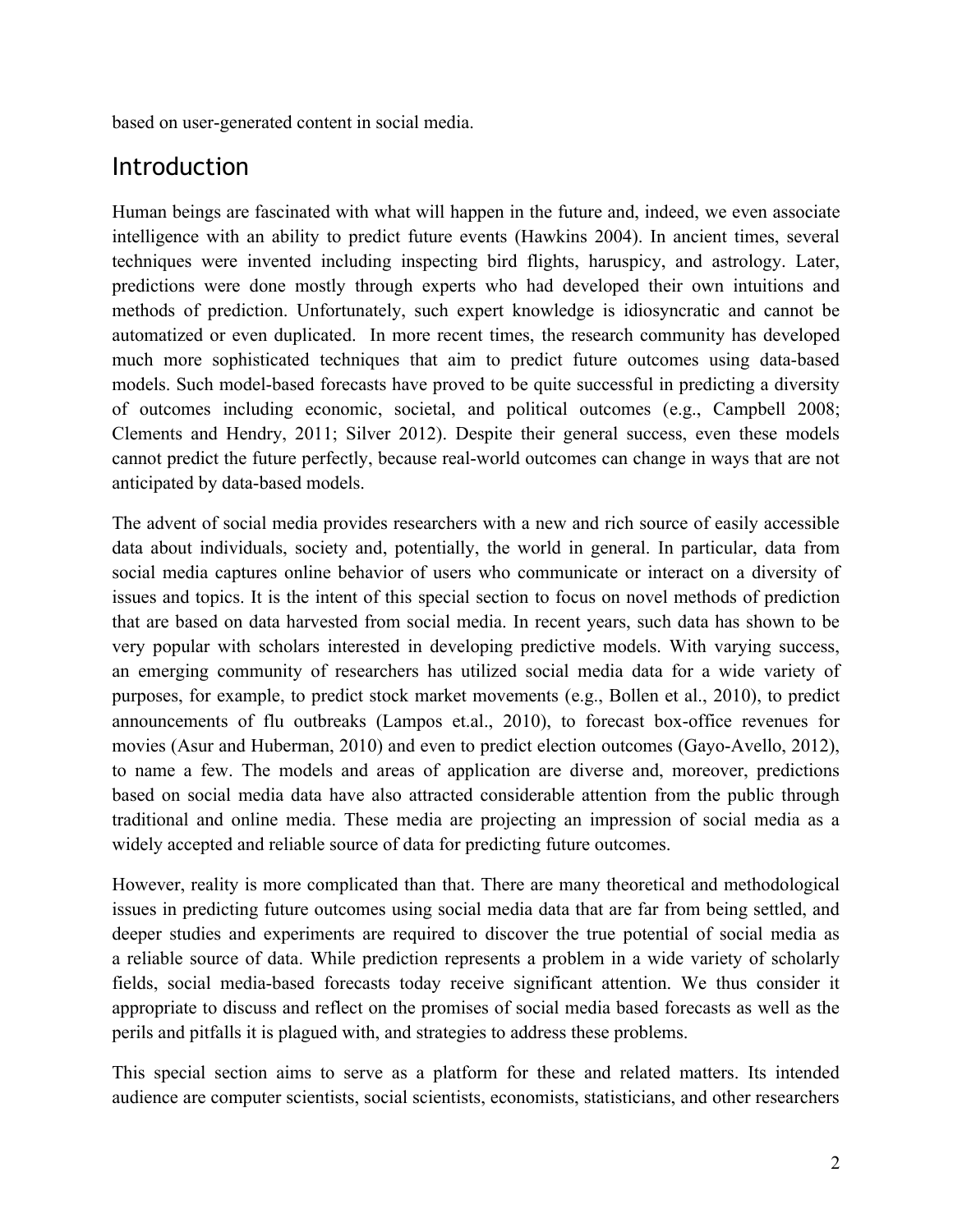based on user-generated content in social media.

### **Introduction**

Human beings are fascinated with what will happen in the future and, indeed, we even associate intelligence with an ability to predict future events (Hawkins 2004). In ancient times, several techniques were invented including inspecting bird flights, haruspicy, and astrology. Later, predictions were done mostly through experts who had developed their own intuitions and methods of prediction. Unfortunately, such expert knowledge is idiosyncratic and cannot be automatized or even duplicated. In more recent times, the research community has developed much more sophisticated techniques that aim to predict future outcomes using data-based models. Such model-based forecasts have proved to be quite successful in predicting a diversity of outcomes including economic, societal, and political outcomes (e.g., Campbell 2008; Clements and Hendry, 2011; Silver 2012). Despite their general success, even these models cannot predict the future perfectly, because real-world outcomes can change in ways that are not anticipated by data-based models.

The advent of social media provides researchers with a new and rich source of easily accessible data about individuals, society and, potentially, the world in general. In particular, data from social media captures online behavior of users who communicate or interact on a diversity of issues and topics. It is the intent of this special section to focus on novel methods of prediction that are based on data harvested from social media. In recent years, such data has shown to be very popular with scholars interested in developing predictive models. With varying success, an emerging community of researchers has utilized social media data for a wide variety of purposes, for example, to predict stock market movements (e.g., Bollen et al., 2010), to predict announcements of flu outbreaks (Lampos et.al., 2010), to forecast box-office revenues for movies (Asur and Huberman, 2010) and even to predict election outcomes (Gayo-Avello, 2012), to name a few. The models and areas of application are diverse and, moreover, predictions based on social media data have also attracted considerable attention from the public through traditional and online media. These media are projecting an impression of social media as a widely accepted and reliable source of data for predicting future outcomes.

However, reality is more complicated than that. There are many theoretical and methodological issues in predicting future outcomes using social media data that are far from being settled, and deeper studies and experiments are required to discover the true potential of social media as a reliable source of data. While prediction represents a problem in a wide variety of scholarly fields, social media-based forecasts today receive significant attention. We thus consider it appropriate to discuss and reflect on the promises of social media based forecasts as well as the perils and pitfalls it is plagued with, and strategies to address these problems.

This special section aims to serve as a platform for these and related matters. Its intended audience are computer scientists, social scientists, economists, statisticians, and other researchers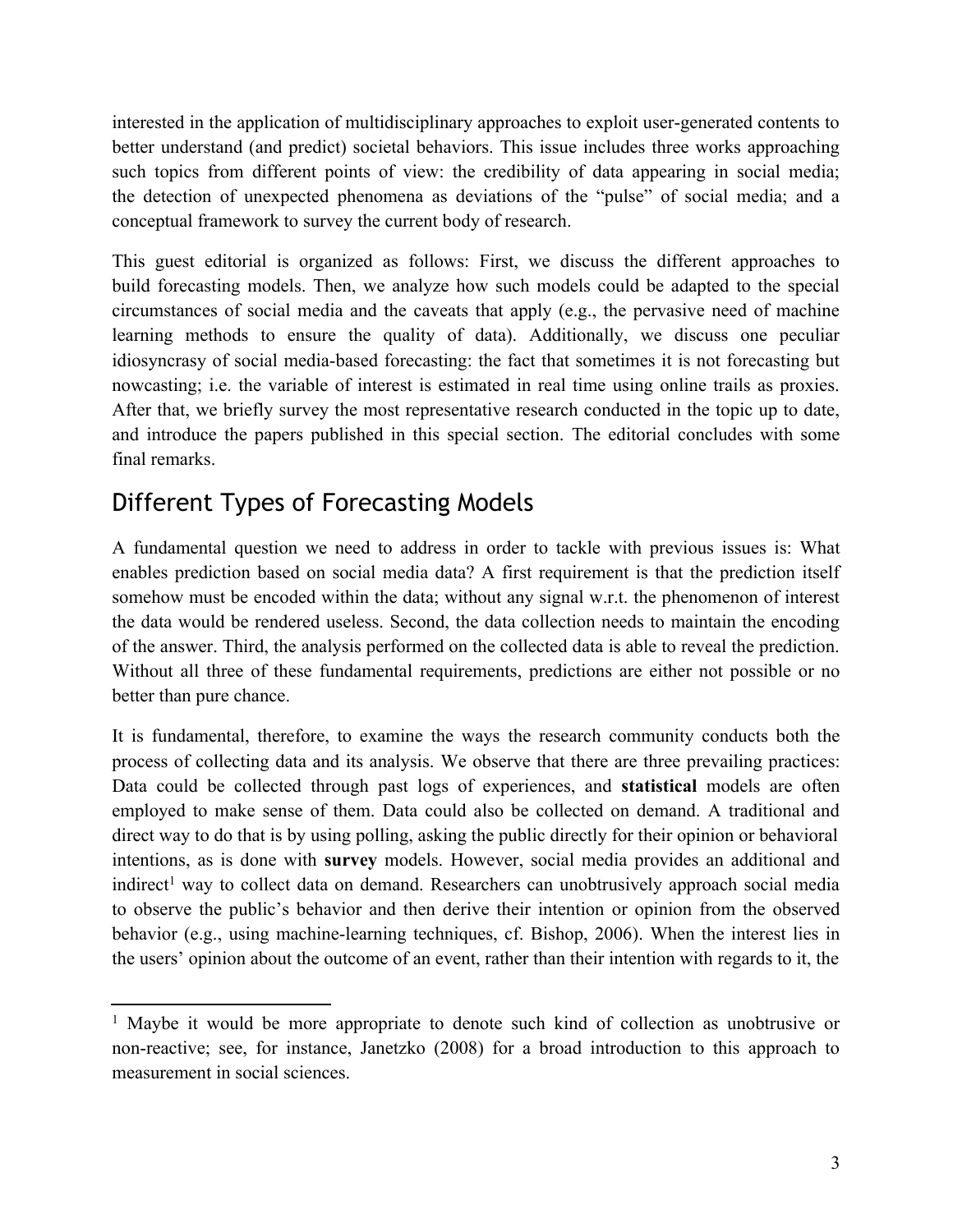interested in the application of multidisciplinary approaches to exploit user-generated contents to better understand (and predict) societal behaviors. This issue includes three works approaching such topics from different points of view: the credibility of data appearing in social media; the detection of unexpected phenomena as deviations of the "pulse" of social media; and a conceptual framework to survey the current body of research.

This guest editorial is organized as follows: First, we discuss the different approaches to build forecasting models. Then, we analyze how such models could be adapted to the special circumstances of social media and the caveats that apply (e.g., the pervasive need of machine learning methods to ensure the quality of data). Additionally, we discuss one peculiar idiosyncrasy of social media-based forecasting: the fact that sometimes it is not forecasting but nowcasting; i.e. the variable of interest is estimated in real time using online trails as proxies. After that, we briefly survey the most representative research conducted in the topic up to date, and introduce the papers published in this special section. The editorial concludes with some final remarks.

# Different Types of Forecasting Models

A fundamental question we need to address in order to tackle with previous issues is: What enables prediction based on social media data? A first requirement is that the prediction itself somehow must be encoded within the data; without any signal w.r.t. the phenomenon of interest the data would be rendered useless. Second, the data collection needs to maintain the encoding of the answer. Third, the analysis performed on the collected data is able to reveal the prediction. Without all three of these fundamental requirements, predictions are either not possible or no better than pure chance.

It is fundamental, therefore, to examine the ways the research community conducts both the process of collecting data and its analysis. We observe that there are three prevailing practices: Data could be collected through past logs of experiences, and **statistical** models are often employed to make sense of them. Data could also be collected on demand. A traditional and direct way to do that is by using polling, asking the public directly for their opinion or behavioral intentions, as is done with **survey** models. However, social media provides an additional and indirect<sup>1</sup> way to collect data on demand. Researchers can unobtrusively approach social media to observe the public's behavior and then derive their intention or opinion from the observed behavior (e.g., using machine-learning techniques, cf. Bishop, 2006). When the interest lies in the users' opinion about the outcome of an event, rather than their intention with regards to it, the

<sup>&</sup>lt;sup>1</sup> Maybe it would be more appropriate to denote such kind of collection as unobtrusive or non-reactive; see, for instance, Janetzko (2008) for a broad introduction to this approach to measurement in social sciences.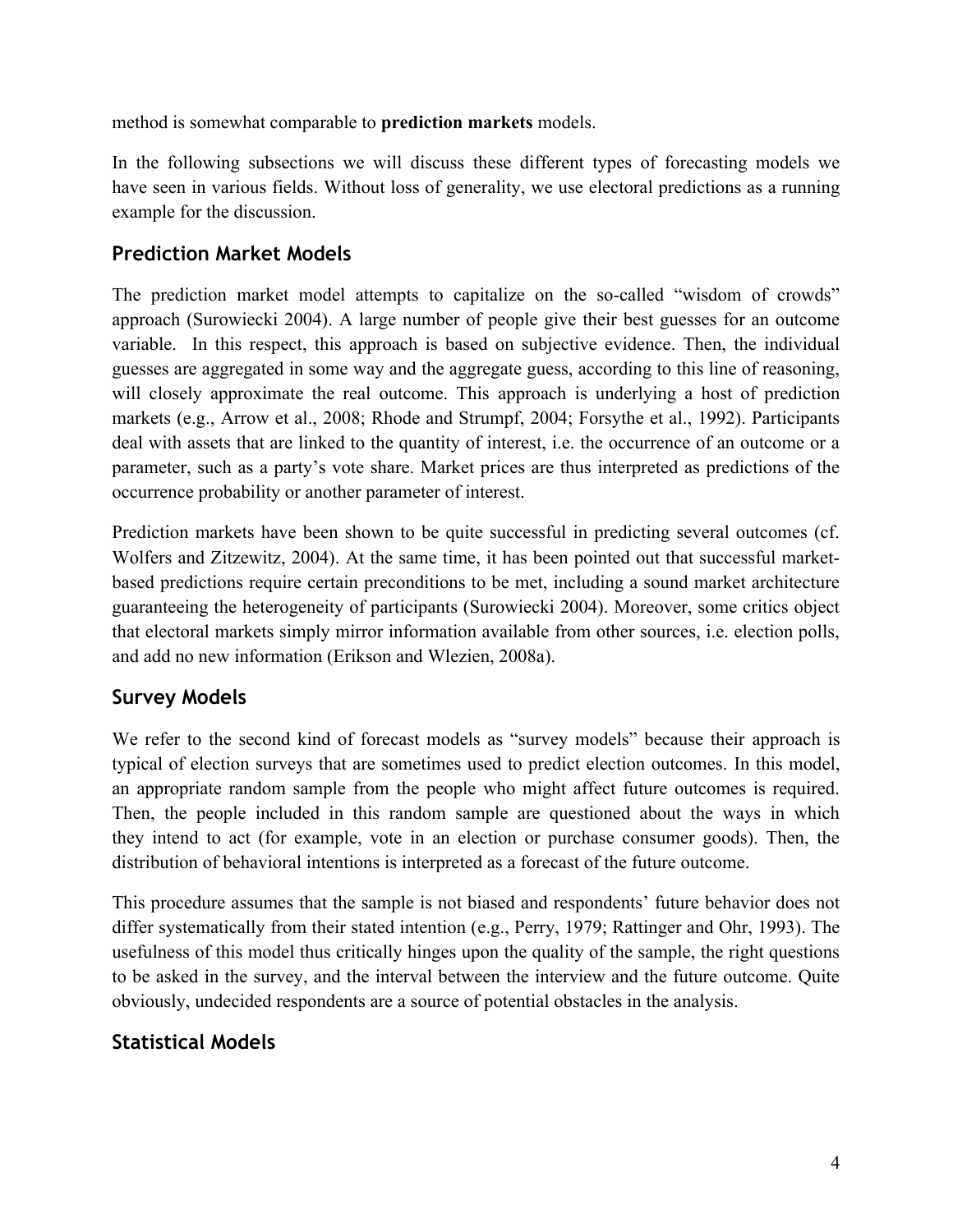method is somewhat comparable to **prediction markets** models.

In the following subsections we will discuss these different types of forecasting models we have seen in various fields. Without loss of generality, we use electoral predictions as a running example for the discussion.

#### **Prediction Market Models**

The prediction market model attempts to capitalize on the so-called "wisdom of crowds" approach (Surowiecki 2004). A large number of people give their best guesses for an outcome variable. In this respect, this approach is based on subjective evidence. Then, the individual guesses are aggregated in some way and the aggregate guess, according to this line of reasoning, will closely approximate the real outcome. This approach is underlying a host of prediction markets (e.g., Arrow et al., 2008; Rhode and Strumpf, 2004; Forsythe et al., 1992). Participants deal with assets that are linked to the quantity of interest, i.e. the occurrence of an outcome or a parameter, such as a party's vote share. Market prices are thus interpreted as predictions of the occurrence probability or another parameter of interest.

Prediction markets have been shown to be quite successful in predicting several outcomes (cf. Wolfers and Zitzewitz, 2004). At the same time, it has been pointed out that successful marketbased predictions require certain preconditions to be met, including a sound market architecture guaranteeing the heterogeneity of participants (Surowiecki 2004). Moreover, some critics object that electoral markets simply mirror information available from other sources, i.e. election polls, and add no new information (Erikson and Wlezien, 2008a).

### **Survey Models**

We refer to the second kind of forecast models as "survey models" because their approach is typical of election surveys that are sometimes used to predict election outcomes. In this model, an appropriate random sample from the people who might affect future outcomes is required. Then, the people included in this random sample are questioned about the ways in which they intend to act (for example, vote in an election or purchase consumer goods). Then, the distribution of behavioral intentions is interpreted as a forecast of the future outcome.

This procedure assumes that the sample is not biased and respondents' future behavior does not differ systematically from their stated intention (e.g., Perry, 1979; Rattinger and Ohr, 1993). The usefulness of this model thus critically hinges upon the quality of the sample, the right questions to be asked in the survey, and the interval between the interview and the future outcome. Quite obviously, undecided respondents are a source of potential obstacles in the analysis.

### **Statistical Models**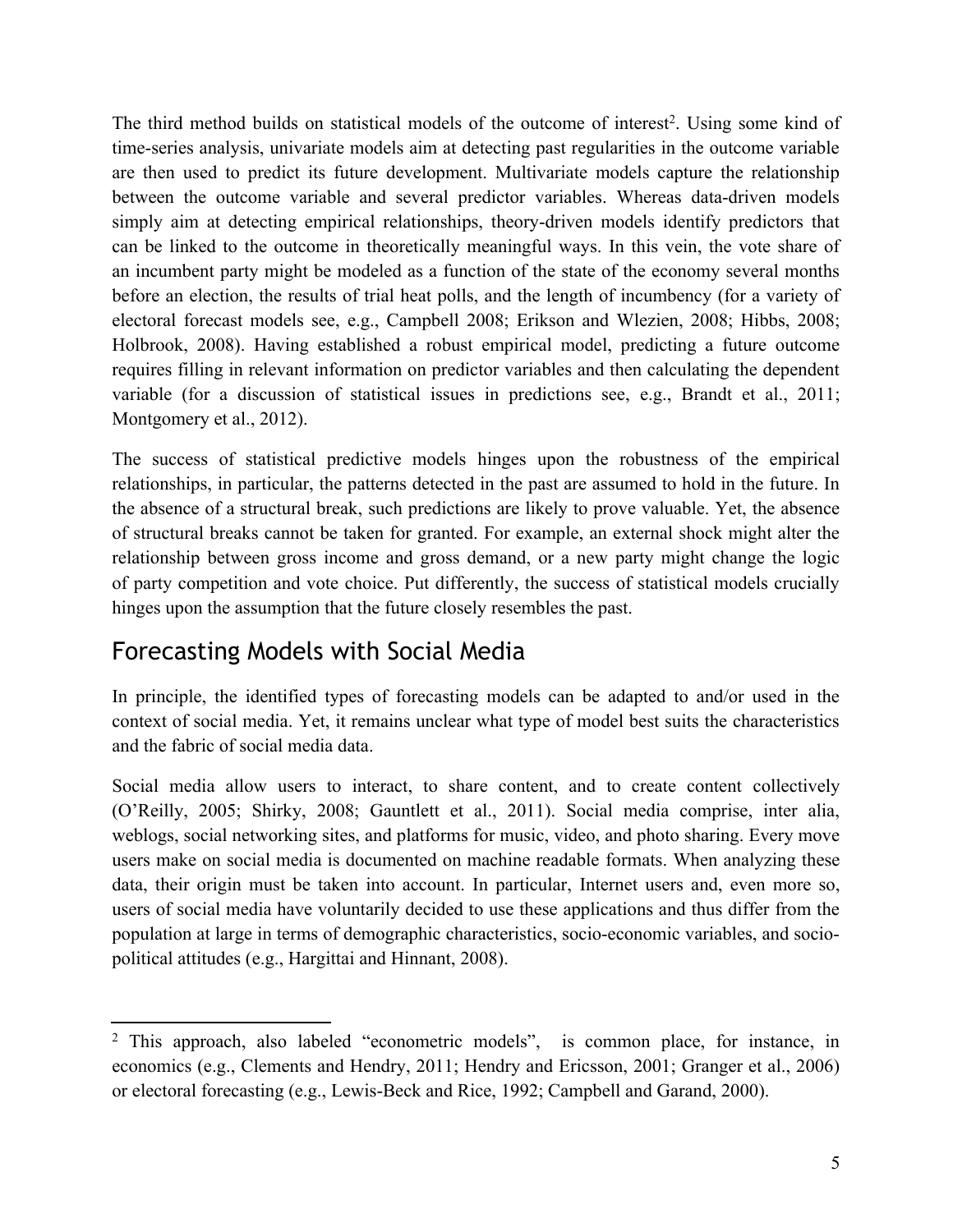The third method builds on statistical models of the outcome of interest<sup>2</sup>. Using some kind of time-series analysis, univariate models aim at detecting past regularities in the outcome variable are then used to predict its future development. Multivariate models capture the relationship between the outcome variable and several predictor variables. Whereas data-driven models simply aim at detecting empirical relationships, theory-driven models identify predictors that can be linked to the outcome in theoretically meaningful ways. In this vein, the vote share of an incumbent party might be modeled as a function of the state of the economy several months before an election, the results of trial heat polls, and the length of incumbency (for a variety of electoral forecast models see, e.g., Campbell 2008; Erikson and Wlezien, 2008; Hibbs, 2008; Holbrook, 2008). Having established a robust empirical model, predicting a future outcome requires filling in relevant information on predictor variables and then calculating the dependent variable (for a discussion of statistical issues in predictions see, e.g., Brandt et al., 2011; Montgomery et al., 2012).

The success of statistical predictive models hinges upon the robustness of the empirical relationships, in particular, the patterns detected in the past are assumed to hold in the future. In the absence of a structural break, such predictions are likely to prove valuable. Yet, the absence of structural breaks cannot be taken for granted. For example, an external shock might alter the relationship between gross income and gross demand, or a new party might change the logic of party competition and vote choice. Put differently, the success of statistical models crucially hinges upon the assumption that the future closely resembles the past.

### Forecasting Models with Social Media

In principle, the identified types of forecasting models can be adapted to and/or used in the context of social media. Yet, it remains unclear what type of model best suits the characteristics and the fabric of social media data.

Social media allow users to interact, to share content, and to create content collectively (O'Reilly, 2005; Shirky, 2008; Gauntlett et al., 2011). Social media comprise, inter alia, weblogs, social networking sites, and platforms for music, video, and photo sharing. Every move users make on social media is documented on machine readable formats. When analyzing these data, their origin must be taken into account. In particular, Internet users and, even more so, users of social media have voluntarily decided to use these applications and thus differ from the population at large in terms of demographic characteristics, socio-economic variables, and sociopolitical attitudes (e.g., Hargittai and Hinnant, 2008).

<sup>&</sup>lt;sup>2</sup> This approach, also labeled "econometric models", is common place, for instance, in economics (e.g., Clements and Hendry, 2011; Hendry and Ericsson, 2001; Granger et al., 2006) or electoral forecasting (e.g., Lewis-Beck and Rice, 1992; Campbell and Garand, 2000).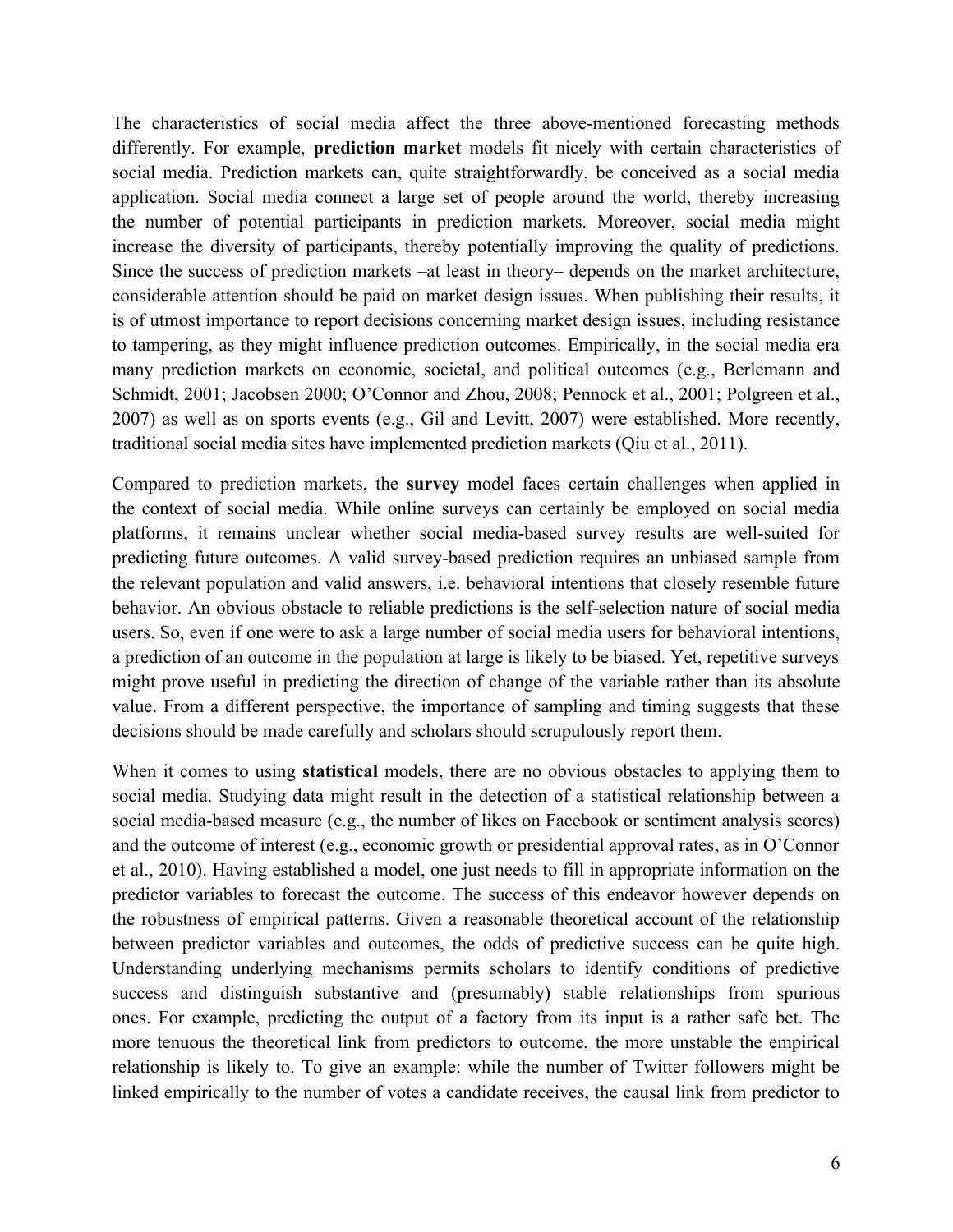The characteristics of social media affect the three above-mentioned forecasting methods differently. For example, **prediction market** models fit nicely with certain characteristics of social media. Prediction markets can, quite straightforwardly, be conceived as a social media application. Social media connect a large set of people around the world, thereby increasing the number of potential participants in prediction markets. Moreover, social media might increase the diversity of participants, thereby potentially improving the quality of predictions. Since the success of prediction markets –at least in theory– depends on the market architecture, considerable attention should be paid on market design issues. When publishing their results, it is of utmost importance to report decisions concerning market design issues, including resistance to tampering, as they might influence prediction outcomes. Empirically, in the social media era many prediction markets on economic, societal, and political outcomes (e.g., Berlemann and Schmidt, 2001; Jacobsen 2000; O'Connor and Zhou, 2008; Pennock et al., 2001; Polgreen et al., 2007) as well as on sports events (e.g., Gil and Levitt, 2007) were established. More recently, traditional social media sites have implemented prediction markets (Qiu et al., 2011).

Compared to prediction markets, the **survey** model faces certain challenges when applied in the context of social media. While online surveys can certainly be employed on social media platforms, it remains unclear whether social media-based survey results are well-suited for predicting future outcomes. A valid survey-based prediction requires an unbiased sample from the relevant population and valid answers, i.e. behavioral intentions that closely resemble future behavior. An obvious obstacle to reliable predictions is the self-selection nature of social media users. So, even if one were to ask a large number of social media users for behavioral intentions, a prediction of an outcome in the population at large is likely to be biased. Yet, repetitive surveys might prove useful in predicting the direction of change of the variable rather than its absolute value. From a different perspective, the importance of sampling and timing suggests that these decisions should be made carefully and scholars should scrupulously report them.

When it comes to using **statistical** models, there are no obvious obstacles to applying them to social media. Studying data might result in the detection of a statistical relationship between a social media-based measure (e.g., the number of likes on Facebook or sentiment analysis scores) and the outcome of interest (e.g., economic growth or presidential approval rates, as in O'Connor et al., 2010). Having established a model, one just needs to fill in appropriate information on the predictor variables to forecast the outcome. The success of this endeavor however depends on the robustness of empirical patterns. Given a reasonable theoretical account of the relationship between predictor variables and outcomes, the odds of predictive success can be quite high. Understanding underlying mechanisms permits scholars to identify conditions of predictive success and distinguish substantive and (presumably) stable relationships from spurious ones. For example, predicting the output of a factory from its input is a rather safe bet. The more tenuous the theoretical link from predictors to outcome, the more unstable the empirical relationship is likely to. To give an example: while the number of Twitter followers might be linked empirically to the number of votes a candidate receives, the causal link from predictor to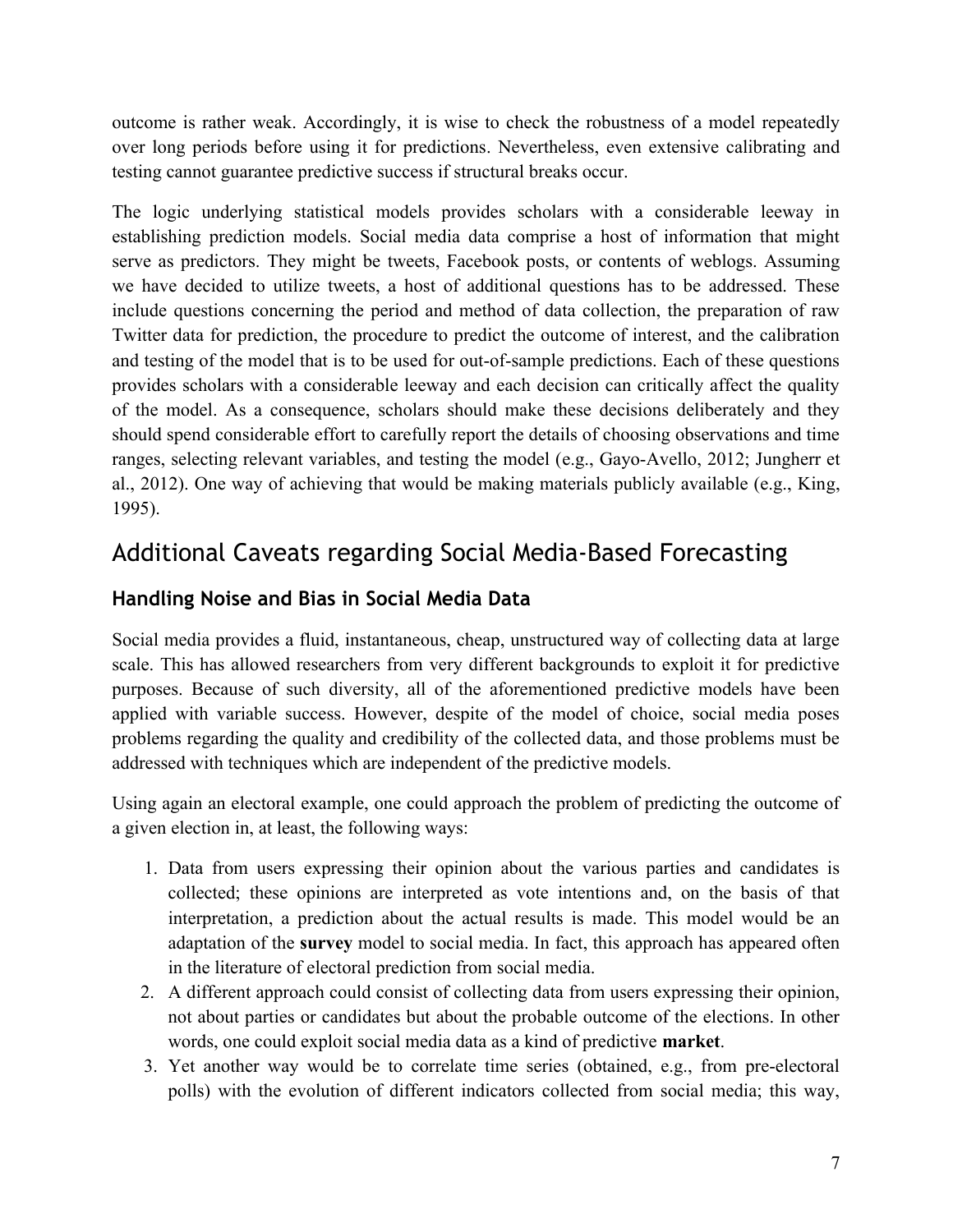outcome is rather weak. Accordingly, it is wise to check the robustness of a model repeatedly over long periods before using it for predictions. Nevertheless, even extensive calibrating and testing cannot guarantee predictive success if structural breaks occur.

The logic underlying statistical models provides scholars with a considerable leeway in establishing prediction models. Social media data comprise a host of information that might serve as predictors. They might be tweets, Facebook posts, or contents of weblogs. Assuming we have decided to utilize tweets, a host of additional questions has to be addressed. These include questions concerning the period and method of data collection, the preparation of raw Twitter data for prediction, the procedure to predict the outcome of interest, and the calibration and testing of the model that is to be used for out-of-sample predictions. Each of these questions provides scholars with a considerable leeway and each decision can critically affect the quality of the model. As a consequence, scholars should make these decisions deliberately and they should spend considerable effort to carefully report the details of choosing observations and time ranges, selecting relevant variables, and testing the model (e.g., Gayo-Avello, 2012; Jungherr et al., 2012). One way of achieving that would be making materials publicly available (e.g., King, 1995).

# Additional Caveats regarding Social Media-Based Forecasting

### **Handling Noise and Bias in Social Media Data**

Social media provides a fluid, instantaneous, cheap, unstructured way of collecting data at large scale. This has allowed researchers from very different backgrounds to exploit it for predictive purposes. Βecause of such diversity, all of the aforementioned predictive models have been applied with variable success. However, despite of the model of choice, social media poses problems regarding the quality and credibility of the collected data, and those problems must be addressed with techniques which are independent of the predictive models.

Using again an electoral example, one could approach the problem of predicting the outcome of a given election in, at least, the following ways:

- 1. Data from users expressing their opinion about the various parties and candidates is collected; these opinions are interpreted as vote intentions and, on the basis of that interpretation, a prediction about the actual results is made. This model would be an adaptation of the **survey** model to social media. In fact, this approach has appeared often in the literature of electoral prediction from social media.
- 2. A different approach could consist of collecting data from users expressing their opinion, not about parties or candidates but about the probable outcome of the elections. In other words, one could exploit social media data as a kind of predictive **market**.
- 3. Yet another way would be to correlate time series (obtained, e.g., from pre-electoral polls) with the evolution of different indicators collected from social media; this way,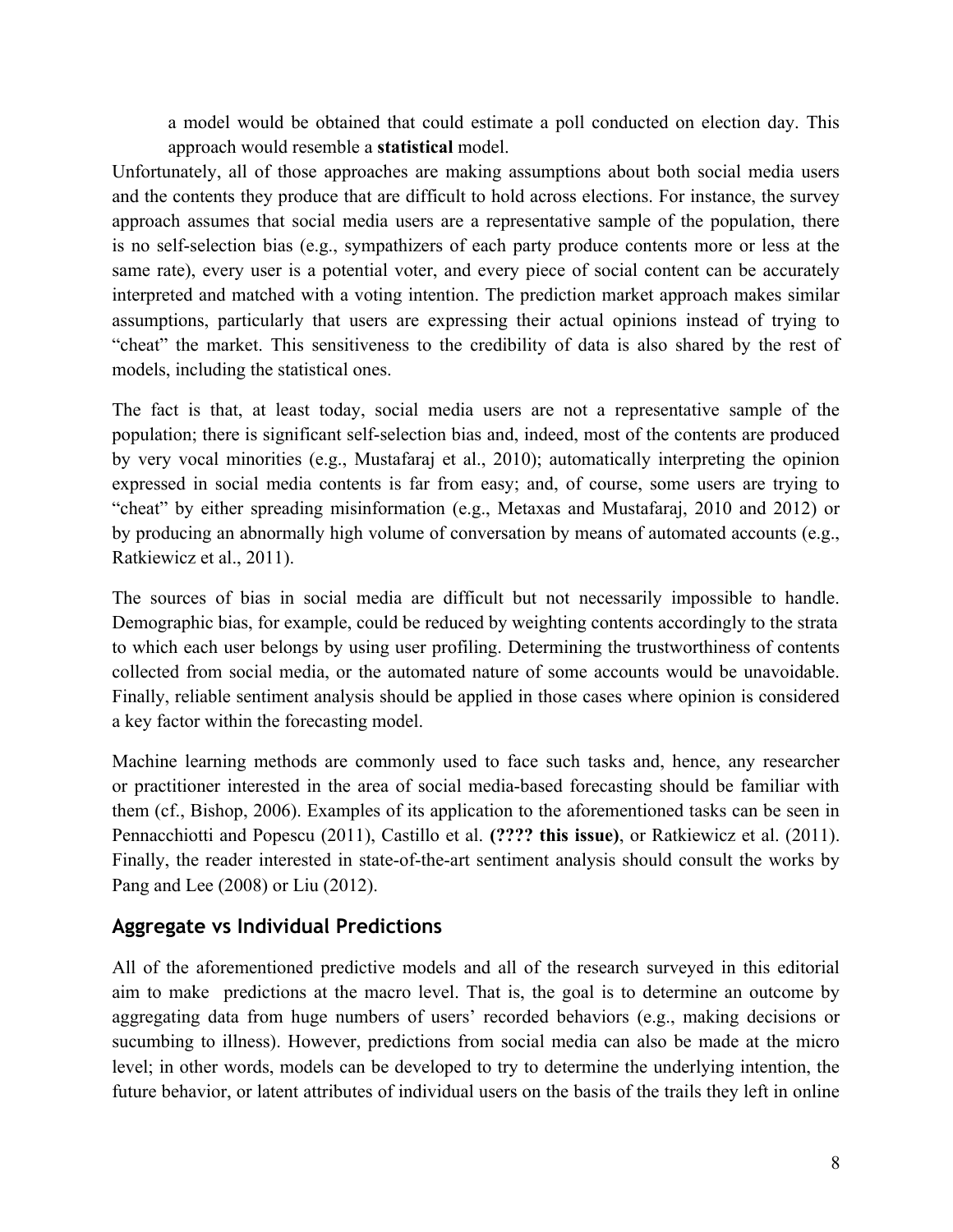a model would be obtained that could estimate a poll conducted on election day. This approach would resemble a **statistical** model.

Unfortunately, all of those approaches are making assumptions about both social media users and the contents they produce that are difficult to hold across elections. For instance, the survey approach assumes that social media users are a representative sample of the population, there is no self-selection bias (e.g., sympathizers of each party produce contents more or less at the same rate), every user is a potential voter, and every piece of social content can be accurately interpreted and matched with a voting intention. The prediction market approach makes similar assumptions, particularly that users are expressing their actual opinions instead of trying to "cheat" the market. This sensitiveness to the credibility of data is also shared by the rest of models, including the statistical ones.

The fact is that, at least today, social media users are not a representative sample of the population; there is significant self-selection bias and, indeed, most of the contents are produced by very vocal minorities (e.g., Mustafaraj et al., 2010); automatically interpreting the opinion expressed in social media contents is far from easy; and, of course, some users are trying to "cheat" by either spreading misinformation (e.g., Metaxas and Mustafaraj, 2010 and 2012) or by producing an abnormally high volume of conversation by means of automated accounts (e.g., Ratkiewicz et al., 2011).

The sources of bias in social media are difficult but not necessarily impossible to handle. Demographic bias, for example, could be reduced by weighting contents accordingly to the strata to which each user belongs by using user profiling. Determining the trustworthiness of contents collected from social media, or the automated nature of some accounts would be unavoidable. Finally, reliable sentiment analysis should be applied in those cases where opinion is considered a key factor within the forecasting model.

Machine learning methods are commonly used to face such tasks and, hence, any researcher or practitioner interested in the area of social media-based forecasting should be familiar with them (cf., Bishop, 2006). Examples of its application to the aforementioned tasks can be seen in Pennacchiotti and Popescu (2011), Castillo et al. **(???? this issue)**, or Ratkiewicz et al. (2011). Finally, the reader interested in state-of-the-art sentiment analysis should consult the works by Pang and Lee (2008) or Liu (2012).

#### **Aggregate vs Individual Predictions**

All of the aforementioned predictive models and all of the research surveyed in this editorial aim to make predictions at the macro level. That is, the goal is to determine an outcome by aggregating data from huge numbers of users' recorded behaviors (e.g., making decisions or sucumbing to illness). However, predictions from social media can also be made at the micro level; in other words, models can be developed to try to determine the underlying intention, the future behavior, or latent attributes of individual users on the basis of the trails they left in online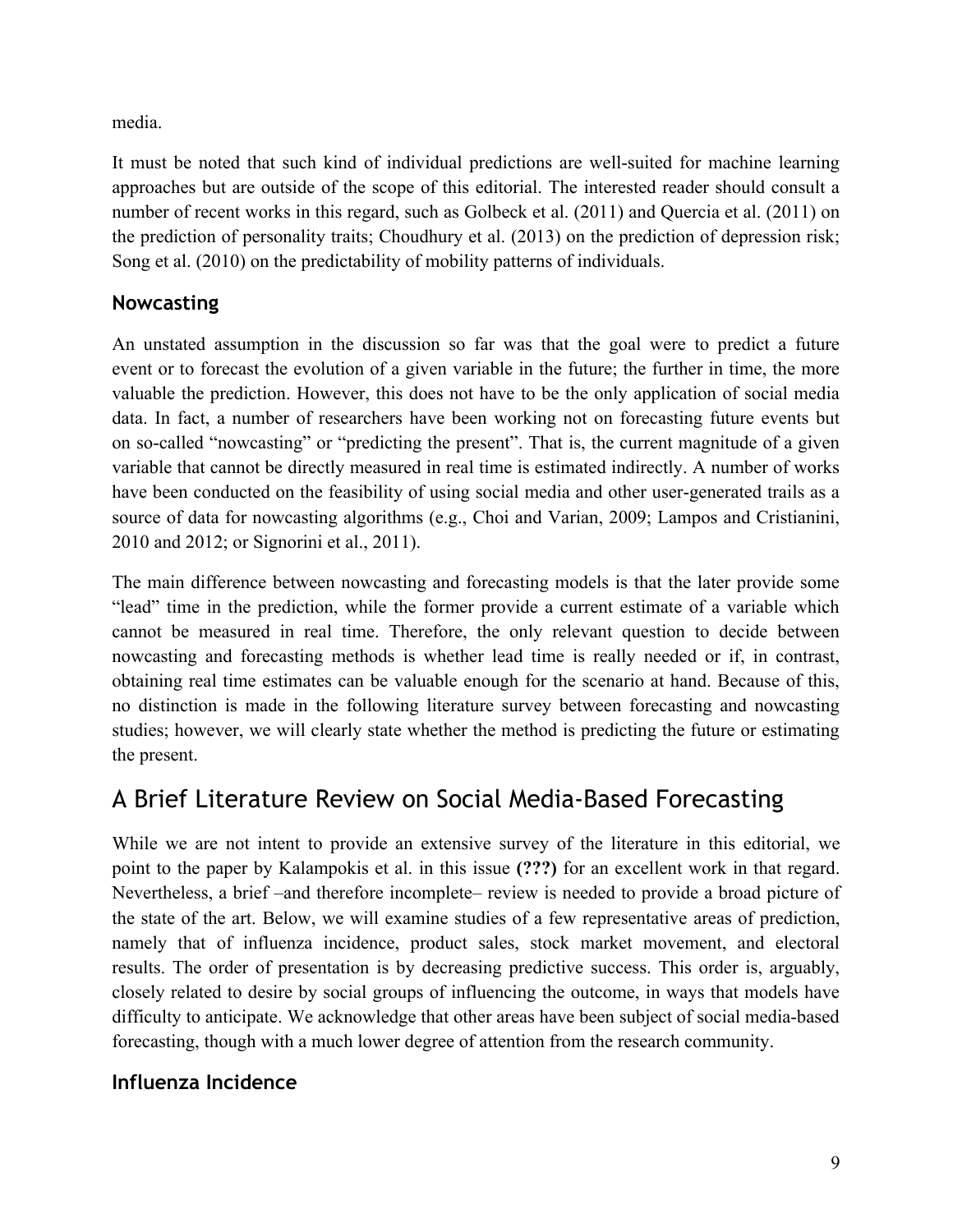media.

It must be noted that such kind of individual predictions are well-suited for machine learning approaches but are outside of the scope of this editorial. The interested reader should consult a number of recent works in this regard, such as Golbeck et al. (2011) and Quercia et al. (2011) on the prediction of personality traits; Choudhury et al. (2013) on the prediction of depression risk; Song et al. (2010) on the predictability of mobility patterns of individuals.

#### **Nowcasting**

An unstated assumption in the discussion so far was that the goal were to predict a future event or to forecast the evolution of a given variable in the future; the further in time, the more valuable the prediction. However, this does not have to be the only application of social media data. In fact, a number of researchers have been working not on forecasting future events but on so-called "nowcasting" or "predicting the present". That is, the current magnitude of a given variable that cannot be directly measured in real time is estimated indirectly. A number of works have been conducted on the feasibility of using social media and other user-generated trails as a source of data for nowcasting algorithms (e.g., Choi and Varian, 2009; Lampos and Cristianini, 2010 and 2012; or Signorini et al., 2011).

The main difference between nowcasting and forecasting models is that the later provide some "lead" time in the prediction, while the former provide a current estimate of a variable which cannot be measured in real time. Therefore, the only relevant question to decide between nowcasting and forecasting methods is whether lead time is really needed or if, in contrast, obtaining real time estimates can be valuable enough for the scenario at hand. Because of this, no distinction is made in the following literature survey between forecasting and nowcasting studies; however, we will clearly state whether the method is predicting the future or estimating the present.

# A Brief Literature Review on Social Media-Based Forecasting

While we are not intent to provide an extensive survey of the literature in this editorial, we point to the paper by Kalampokis et al. in this issue **(???)** for an excellent work in that regard. Nevertheless, a brief –and therefore incomplete– review is needed to provide a broad picture of the state of the art. Below, we will examine studies of a few representative areas of prediction, namely that of influenza incidence, product sales, stock market movement, and electoral results. The order of presentation is by decreasing predictive success. This order is, arguably, closely related to desire by social groups of influencing the outcome, in ways that models have difficulty to anticipate. We acknowledge that other areas have been subject of social media-based forecasting, though with a much lower degree of attention from the research community.

#### **Influenza Incidence**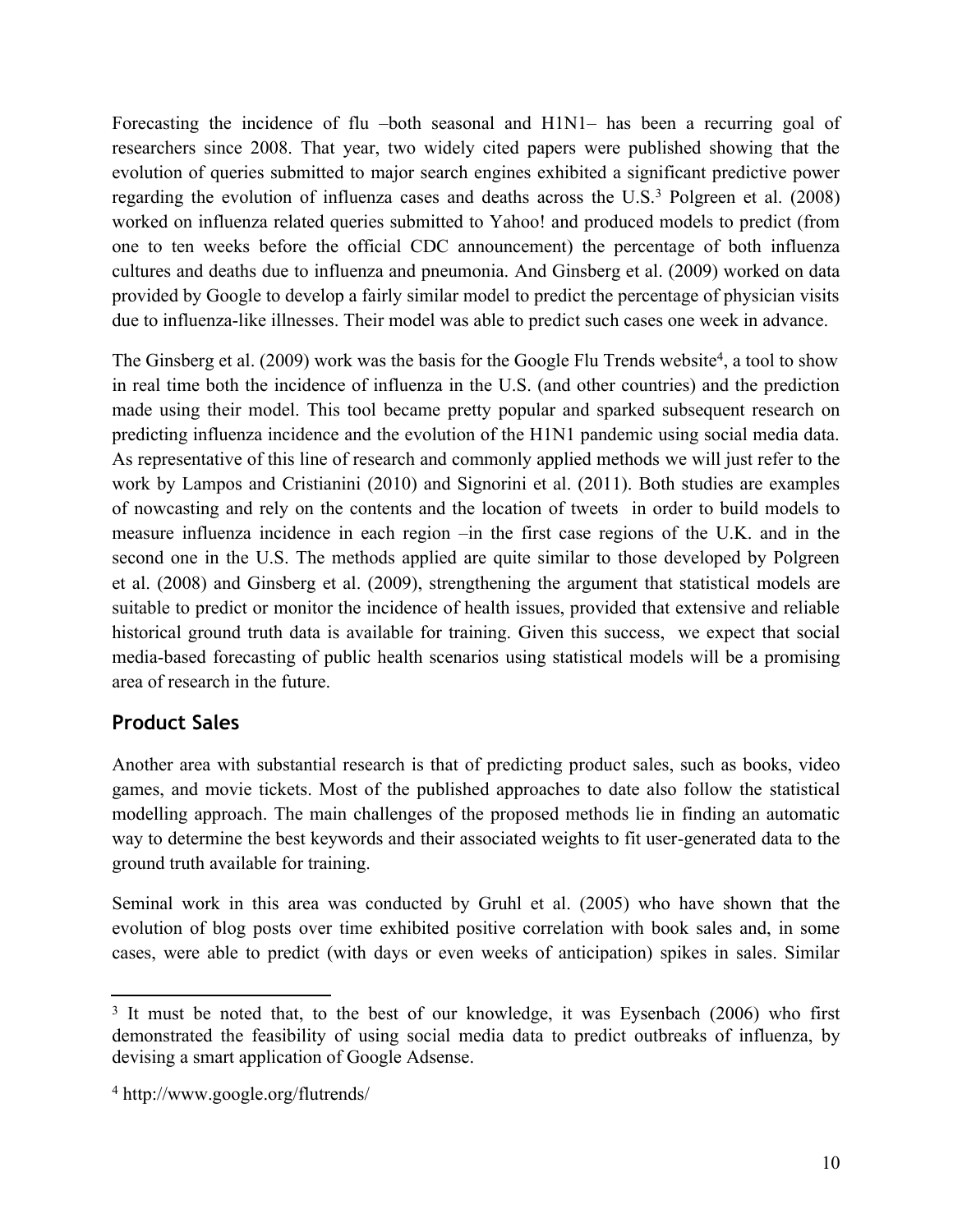Forecasting the incidence of flu –both seasonal and H1N1– has been a recurring goal of researchers since 2008. That year, two widely cited papers were published showing that the evolution of queries submitted to major search engines exhibited a significant predictive power regarding the evolution of influenza cases and deaths across the U.S.<sup>3</sup> Polgreen et al. (2008) worked on influenza related queries submitted to Yahoo! and produced models to predict (from one to ten weeks before the official CDC announcement) the percentage of both influenza cultures and deaths due to influenza and pneumonia. And Ginsberg et al. (2009) worked on data provided by Google to develop a fairly similar model to predict the percentage of physician visits due to influenza-like illnesses. Their model was able to predict such cases one week in advance.

The Ginsberg et al. (2009) work was the basis for the Google Flu Trends website<sup>4</sup>, a tool to show in real time both the incidence of influenza in the U.S. (and other countries) and the prediction made using their model. This tool became pretty popular and sparked subsequent research on predicting influenza incidence and the evolution of the H1N1 pandemic using social media data. As representative of this line of research and commonly applied methods we will just refer to the work by Lampos and Cristianini (2010) and Signorini et al. (2011). Both studies are examples of nowcasting and rely on the contents and the location of tweets in order to build models to measure influenza incidence in each region –in the first case regions of the U.K. and in the second one in the U.S. The methods applied are quite similar to those developed by Polgreen et al. (2008) and Ginsberg et al. (2009), strengthening the argument that statistical models are suitable to predict or monitor the incidence of health issues, provided that extensive and reliable historical ground truth data is available for training. Given this success, we expect that social media-based forecasting of public health scenarios using statistical models will be a promising area of research in the future.

#### **Product Sales**

Another area with substantial research is that of predicting product sales, such as books, video games, and movie tickets. Most of the published approaches to date also follow the statistical modelling approach. The main challenges of the proposed methods lie in finding an automatic way to determine the best keywords and their associated weights to fit user-generated data to the ground truth available for training.

Seminal work in this area was conducted by Gruhl et al. (2005) who have shown that the evolution of blog posts over time exhibited positive correlation with book sales and, in some cases, were able to predict (with days or even weeks of anticipation) spikes in sales. Similar

<sup>&</sup>lt;sup>3</sup> It must be noted that, to the best of our knowledge, it was Eysenbach (2006) who first demonstrated the feasibility of using social media data to predict outbreaks of influenza, by devising a smart application of Google Adsense.

<sup>4</sup> http://www.google.org/flutrends/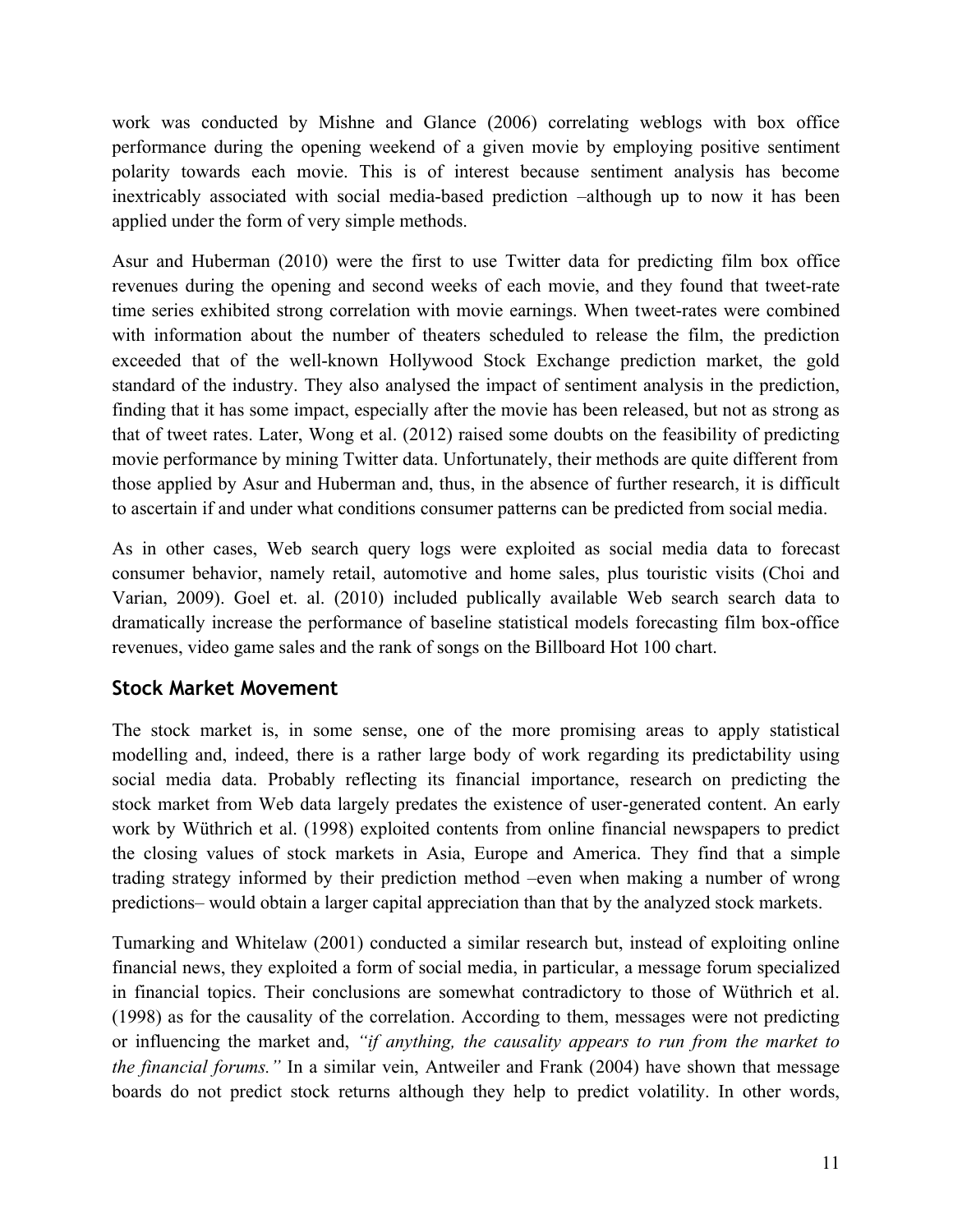work was conducted by Mishne and Glance (2006) correlating weblogs with box office performance during the opening weekend of a given movie by employing positive sentiment polarity towards each movie. This is of interest because sentiment analysis has become inextricably associated with social media-based prediction –although up to now it has been applied under the form of very simple methods.

Asur and Huberman (2010) were the first to use Twitter data for predicting film box office revenues during the opening and second weeks of each movie, and they found that tweet-rate time series exhibited strong correlation with movie earnings. When tweet-rates were combined with information about the number of theaters scheduled to release the film, the prediction exceeded that of the well-known Hollywood Stock Exchange prediction market, the gold standard of the industry. They also analysed the impact of sentiment analysis in the prediction, finding that it has some impact, especially after the movie has been released, but not as strong as that of tweet rates. Later, Wong et al. (2012) raised some doubts on the feasibility of predicting movie performance by mining Twitter data. Unfortunately, their methods are quite different from those applied by Asur and Huberman and, thus, in the absence of further research, it is difficult to ascertain if and under what conditions consumer patterns can be predicted from social media.

As in other cases, Web search query logs were exploited as social media data to forecast consumer behavior, namely retail, automotive and home sales, plus touristic visits (Choi and Varian, 2009). Goel et. al. (2010) included publically available Web search search data to dramatically increase the performance of baseline statistical models forecasting film box-office revenues, video game sales and the rank of songs on the Billboard Hot 100 chart.

#### **Stock Market Movement**

The stock market is, in some sense, one of the more promising areas to apply statistical modelling and, indeed, there is a rather large body of work regarding its predictability using social media data. Probably reflecting its financial importance, research on predicting the stock market from Web data largely predates the existence of user-generated content. An early work by Wüthrich et al. (1998) exploited contents from online financial newspapers to predict the closing values of stock markets in Asia, Europe and America. They find that a simple trading strategy informed by their prediction method –even when making a number of wrong predictions– would obtain a larger capital appreciation than that by the analyzed stock markets.

Tumarking and Whitelaw (2001) conducted a similar research but, instead of exploiting online financial news, they exploited a form of social media, in particular, a message forum specialized in financial topics. Their conclusions are somewhat contradictory to those of Wüthrich et al. (1998) as for the causality of the correlation. According to them, messages were not predicting or influencing the market and, *"if anything, the causality appears to run from the market to the financial forums."* In a similar vein, Antweiler and Frank (2004) have shown that message boards do not predict stock returns although they help to predict volatility. In other words,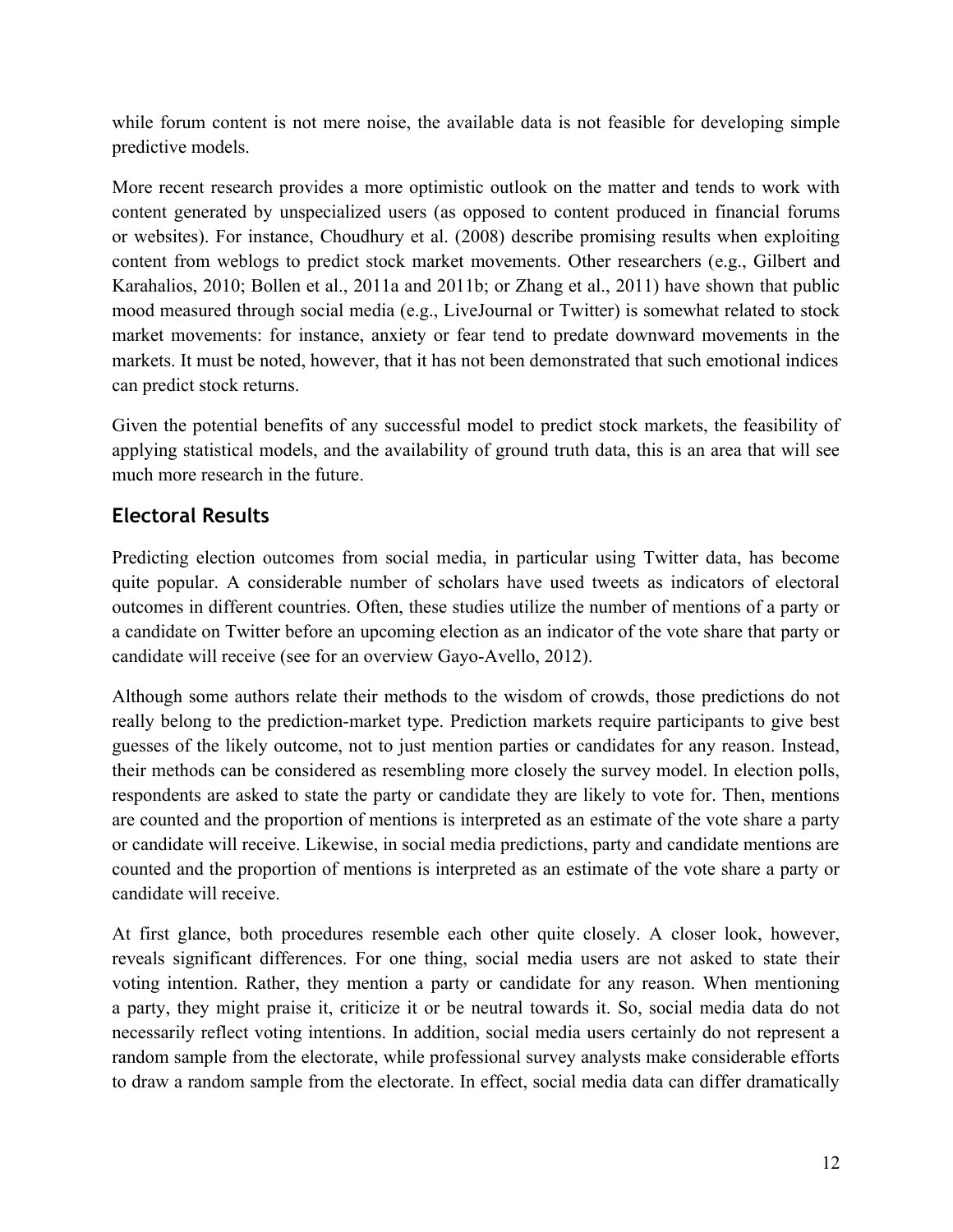while forum content is not mere noise, the available data is not feasible for developing simple predictive models.

More recent research provides a more optimistic outlook on the matter and tends to work with content generated by unspecialized users (as opposed to content produced in financial forums or websites). For instance, Choudhury et al. (2008) describe promising results when exploiting content from weblogs to predict stock market movements. Other researchers (e.g., Gilbert and Karahalios, 2010; Bollen et al., 2011a and 2011b; or Zhang et al., 2011) have shown that public mood measured through social media (e.g., LiveJournal or Twitter) is somewhat related to stock market movements: for instance, anxiety or fear tend to predate downward movements in the markets. It must be noted, however, that it has not been demonstrated that such emotional indices can predict stock returns.

Given the potential benefits of any successful model to predict stock markets, the feasibility of applying statistical models, and the availability of ground truth data, this is an area that will see much more research in the future.

### **Electoral Results**

Predicting election outcomes from social media, in particular using Twitter data, has become quite popular. A considerable number of scholars have used tweets as indicators of electoral outcomes in different countries. Often, these studies utilize the number of mentions of a party or a candidate on Twitter before an upcoming election as an indicator of the vote share that party or candidate will receive (see for an overview Gayo-Avello, 2012).

Although some authors relate their methods to the wisdom of crowds, those predictions do not really belong to the prediction-market type. Prediction markets require participants to give best guesses of the likely outcome, not to just mention parties or candidates for any reason. Instead, their methods can be considered as resembling more closely the survey model. In election polls, respondents are asked to state the party or candidate they are likely to vote for. Then, mentions are counted and the proportion of mentions is interpreted as an estimate of the vote share a party or candidate will receive. Likewise, in social media predictions, party and candidate mentions are counted and the proportion of mentions is interpreted as an estimate of the vote share a party or candidate will receive.

At first glance, both procedures resemble each other quite closely. A closer look, however, reveals significant differences. For one thing, social media users are not asked to state their voting intention. Rather, they mention a party or candidate for any reason. When mentioning a party, they might praise it, criticize it or be neutral towards it. So, social media data do not necessarily reflect voting intentions. In addition, social media users certainly do not represent a random sample from the electorate, while professional survey analysts make considerable efforts to draw a random sample from the electorate. In effect, social media data can differ dramatically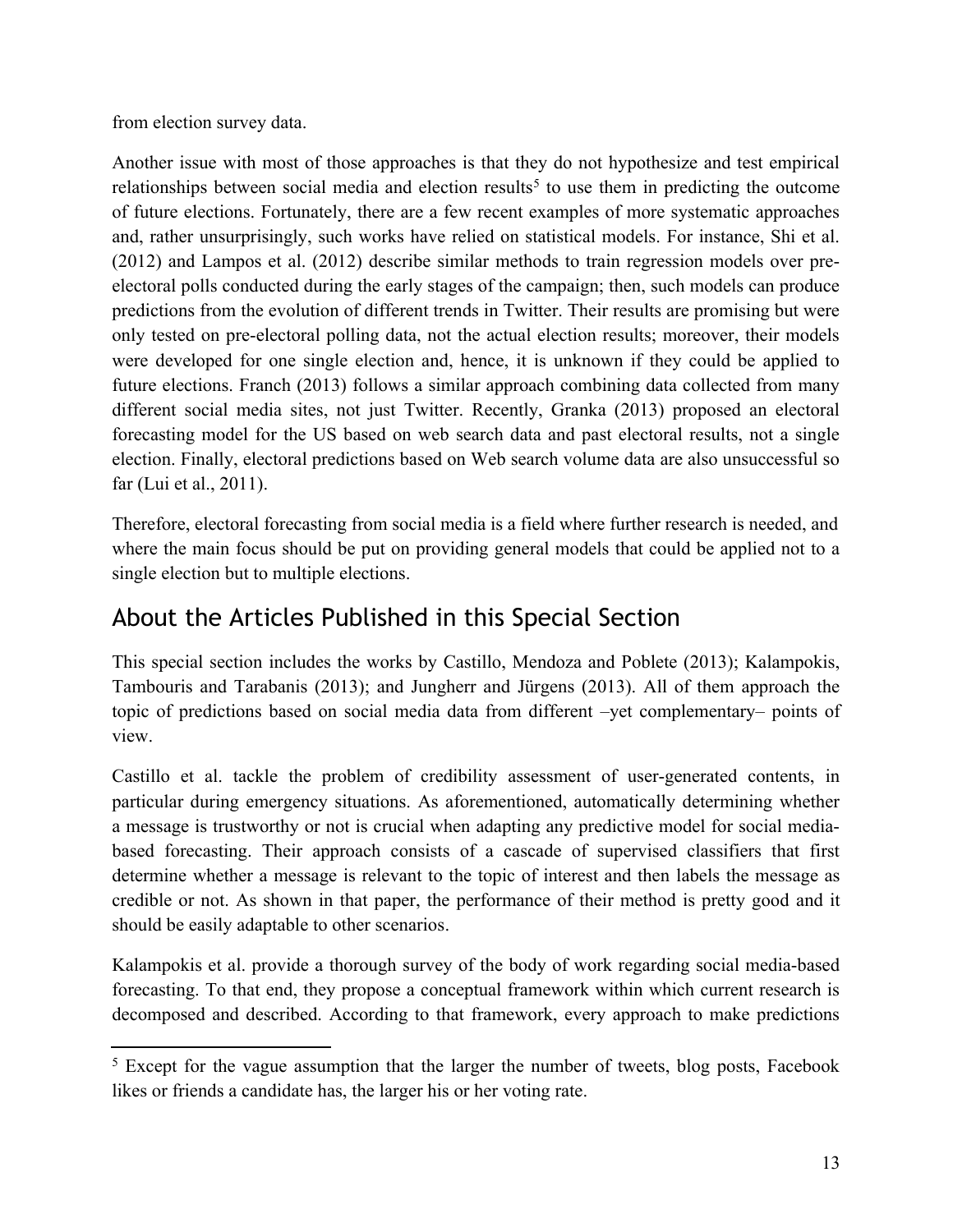from election survey data.

Another issue with most of those approaches is that they do not hypothesize and test empirical relationships between social media and election results<sup>5</sup> to use them in predicting the outcome of future elections. Fortunately, there are a few recent examples of more systematic approaches and, rather unsurprisingly, such works have relied on statistical models. For instance, Shi et al. (2012) and Lampos et al. (2012) describe similar methods to train regression models over preelectoral polls conducted during the early stages of the campaign; then, such models can produce predictions from the evolution of different trends in Twitter. Their results are promising but were only tested on pre-electoral polling data, not the actual election results; moreover, their models were developed for one single election and, hence, it is unknown if they could be applied to future elections. Franch (2013) follows a similar approach combining data collected from many different social media sites, not just Twitter. Recently, Granka (2013) proposed an electoral forecasting model for the US based on web search data and past electoral results, not a single election. Finally, electoral predictions based on Web search volume data are also unsuccessful so far (Lui et al., 2011).

Therefore, electoral forecasting from social media is a field where further research is needed, and where the main focus should be put on providing general models that could be applied not to a single election but to multiple elections.

# About the Articles Published in this Special Section

This special section includes the works by Castillo, Mendoza and Poblete (2013); Kalampokis, Tambouris and Tarabanis (2013); and Jungherr and Jürgens (2013). All of them approach the topic of predictions based on social media data from different –yet complementary– points of view.

Castillo et al. tackle the problem of credibility assessment of user-generated contents, in particular during emergency situations. As aforementioned, automatically determining whether a message is trustworthy or not is crucial when adapting any predictive model for social mediabased forecasting. Their approach consists of a cascade of supervised classifiers that first determine whether a message is relevant to the topic of interest and then labels the message as credible or not. As shown in that paper, the performance of their method is pretty good and it should be easily adaptable to other scenarios.

Kalampokis et al. provide a thorough survey of the body of work regarding social media-based forecasting. To that end, they propose a conceptual framework within which current research is decomposed and described. According to that framework, every approach to make predictions

<sup>&</sup>lt;sup>5</sup> Except for the vague assumption that the larger the number of tweets, blog posts, Facebook likes or friends a candidate has, the larger his or her voting rate.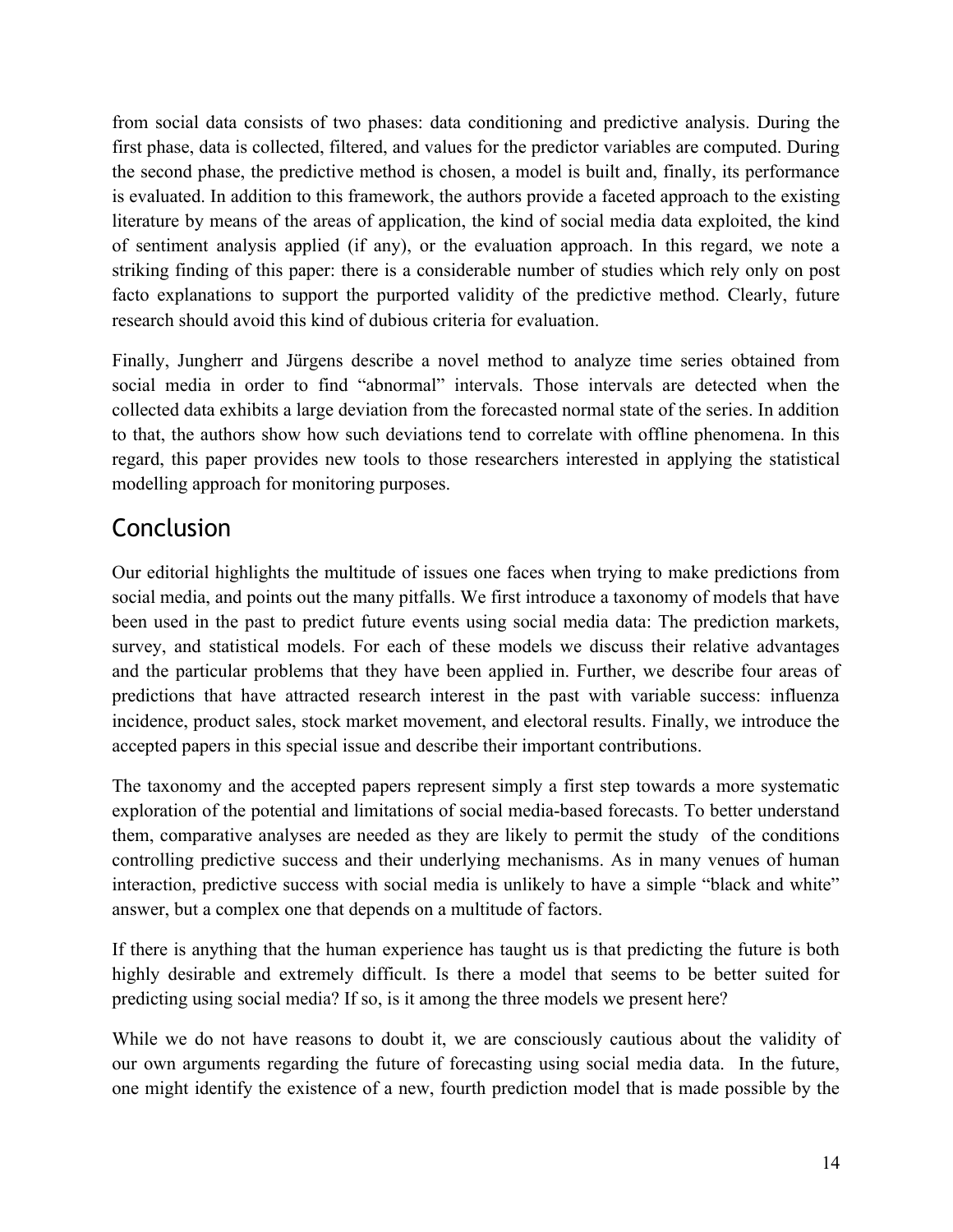from social data consists of two phases: data conditioning and predictive analysis. During the first phase, data is collected, filtered, and values for the predictor variables are computed. During the second phase, the predictive method is chosen, a model is built and, finally, its performance is evaluated. In addition to this framework, the authors provide a faceted approach to the existing literature by means of the areas of application, the kind of social media data exploited, the kind of sentiment analysis applied (if any), or the evaluation approach. In this regard, we note a striking finding of this paper: there is a considerable number of studies which rely only on post facto explanations to support the purported validity of the predictive method. Clearly, future research should avoid this kind of dubious criteria for evaluation.

Finally, Jungherr and Jürgens describe a novel method to analyze time series obtained from social media in order to find "abnormal" intervals. Those intervals are detected when the collected data exhibits a large deviation from the forecasted normal state of the series. In addition to that, the authors show how such deviations tend to correlate with offline phenomena. In this regard, this paper provides new tools to those researchers interested in applying the statistical modelling approach for monitoring purposes.

### Conclusion

Our editorial highlights the multitude of issues one faces when trying to make predictions from social media, and points out the many pitfalls. We first introduce a taxonomy of models that have been used in the past to predict future events using social media data: The prediction markets, survey, and statistical models. For each of these models we discuss their relative advantages and the particular problems that they have been applied in. Further, we describe four areas of predictions that have attracted research interest in the past with variable success: influenza incidence, product sales, stock market movement, and electoral results. Finally, we introduce the accepted papers in this special issue and describe their important contributions.

The taxonomy and the accepted papers represent simply a first step towards a more systematic exploration of the potential and limitations of social media-based forecasts. To better understand them, comparative analyses are needed as they are likely to permit the study of the conditions controlling predictive success and their underlying mechanisms. As in many venues of human interaction, predictive success with social media is unlikely to have a simple "black and white" answer, but a complex one that depends on a multitude of factors.

If there is anything that the human experience has taught us is that predicting the future is both highly desirable and extremely difficult. Is there a model that seems to be better suited for predicting using social media? If so, is it among the three models we present here?

While we do not have reasons to doubt it, we are consciously cautious about the validity of our own arguments regarding the future of forecasting using social media data. In the future, one might identify the existence of a new, fourth prediction model that is made possible by the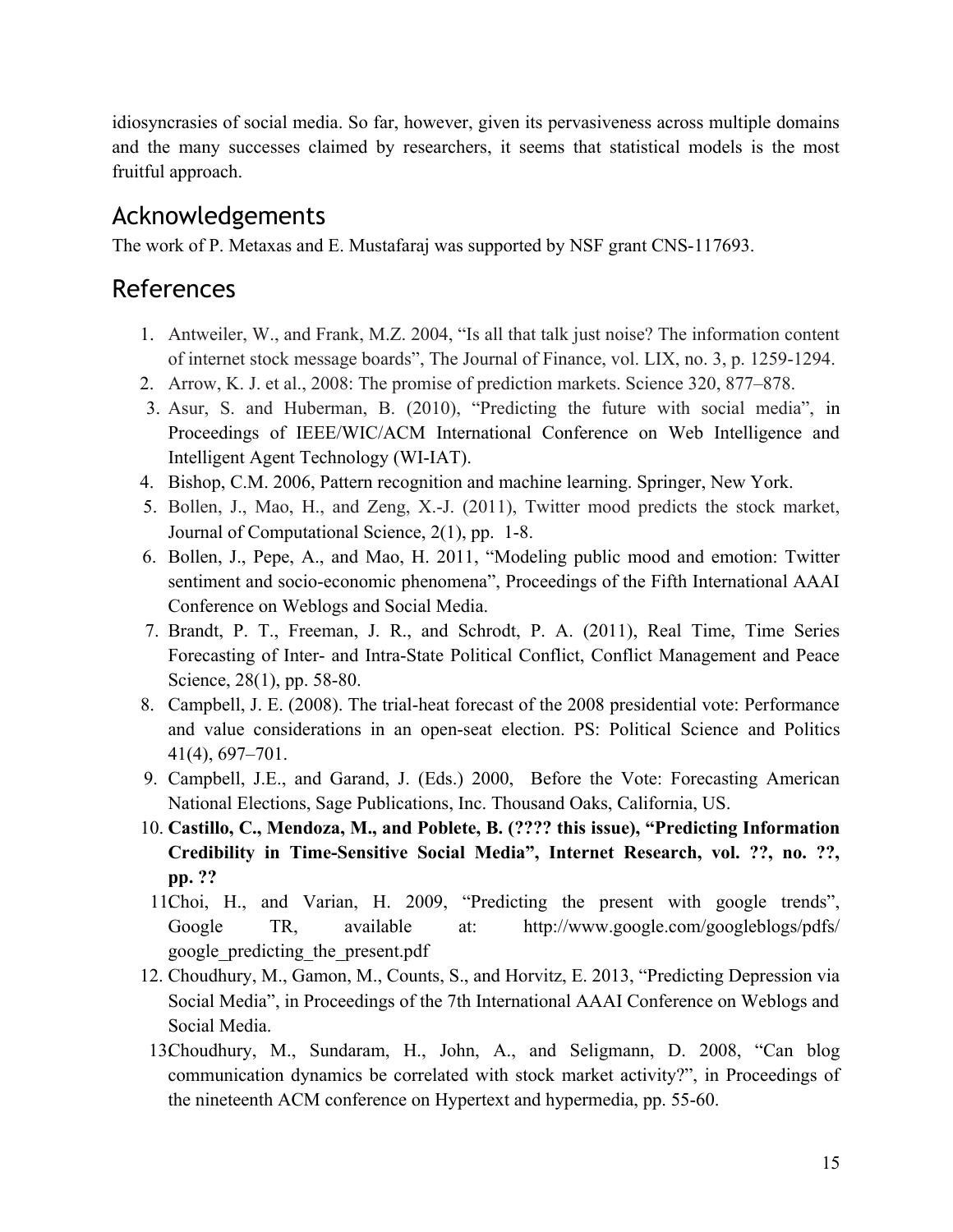idiosyncrasies of social media. So far, however, given its pervasiveness across multiple domains and the many successes claimed by researchers, it seems that statistical models is the most fruitful approach.

# Acknowledgements

The work of P. Metaxas and E. Mustafaraj was supported by NSF grant CNS-117693.

### References

- 1. Antweiler, W., and Frank, M.Z. 2004, "Is all that talk just noise? The information content of internet stock message boards", The Journal of Finance, vol. LIX, no. 3, p. 1259-1294.
- 2. Arrow, K. J. et al., 2008: The promise of prediction markets. Science 320, 877–878.
- 3. Asur, S. and Huberman, B. (2010), "Predicting the future with social media", [i](http://arxiv.org/abs/1003.5699v1)n Proceedings of IEEE/WIC/ACM International Conference on Web Intelligence and Intelligent Agent Technology (WI-IAT).
- 4. Bishop, C.M. 2006, Pattern recognition and machine learning. Springer, New York.
- 5. Bollen, J., Mao, H., and Zeng, X.-J. (2011), Twitter mood predicts the stock market, Journal of Computational Science, 2(1), pp. 1-8.
- 6. Bollen, J., Pepe, A., and Mao, H. 2011, "Modeling public mood and emotion: Twitter sentiment and socio-economic phenomena", Proceedings of the Fifth International AAAI Conference on Weblogs and Social Media.
- 7. Brandt, P. T., Freeman, J. R., and Schrodt, P. A. (2011), Real Time, Time Series Forecasting of Inter- and Intra-State Political Conflict, Conflict Management and Peace Science, 28(1), pp. 58-80.
- 8. Campbell, J. E. (2008). The trial-heat forecast of the 2008 presidential vote: Performance and value considerations in an open-seat election. PS: Political Science and Politics 41(4), 697–701.
- 9. Campbell, J.E., and Garand, J. (Eds.) 2000, Before the Vote: Forecasting American National Elections, Sage Publications, Inc. Thousand Oaks, California, US.
- 10. **Castillo, C., Mendoza, M., and Poblete, B. (???? this issue), "Predicting Information Credibility in Time-Sensitive Social Media", Internet Research, vol. ??, no. ??, pp. ??**
- 11.Choi, H., and Varian, H. 2009, "Predicting the present with google trends", Google TR, available at: http://www.google.com/googleblogs/pdfs/ google\_predicting\_the\_present.pdf
- 12. Choudhury, M., Gamon, M., Counts, S., and Horvitz, E. 2013, "Predicting Depression via Social Media", in Proceedings of the 7th International AAAI Conference on Weblogs and Social Media.
- 13.Choudhury, M., Sundaram, H., John, A., and Seligmann, D. 2008, "Can blog communication dynamics be correlated with stock market activity?", in Proceedings of the nineteenth ACM conference on Hypertext and hypermedia, pp. 55-60.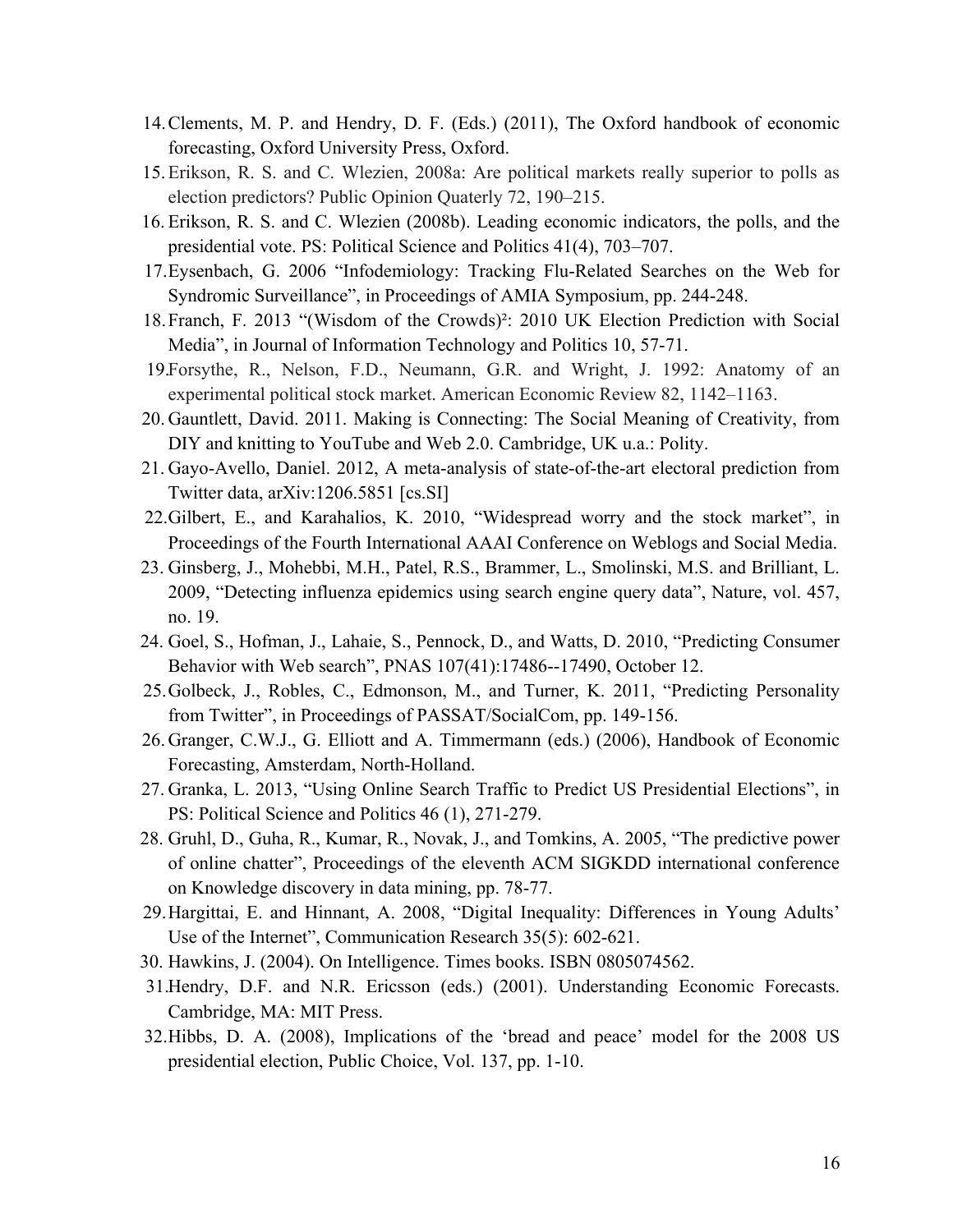- 14.Clements, M. P. and Hendry, D. F. (Eds.) (2011), The Oxford handbook of economic forecasting, Oxford University Press, Oxford.
- 15.Erikson, R. S. and C. Wlezien, 2008a: Are political markets really superior to polls as election predictors? Public Opinion Quaterly 72, 190–215.
- 16. Erikson, R. S. and C. Wlezien (2008b). Leading economic indicators, the polls, and the presidential vote. PS: Political Science and Politics 41(4), 703–707.
- 17.Eysenbach, G. 2006 "Infodemiology: Tracking Flu-Related Searches on the Web for Syndromic Surveillance", in Proceedings of AMIA Symposium, pp. 244-248.
- 18.Franch, F. 2013 "(Wisdom of the Crowds)²: 2010 UK Election Prediction with Social Media", in Journal of Information Technology and Politics 10, 57-71.
- 19.Forsythe, R., Nelson, F.D., Neumann, G.R. and Wright, J. 1992: Anatomy of an experimental political stock market. American Economic Review 82, 1142–1163.
- 20. Gauntlett, David. 2011. Making is Connecting: The Social Meaning of Creativity, from DIY and knitting to YouTube and Web 2.0. Cambridge, UK u.a.: Polity.
- 21. Gayo-Avello, Daniel. 2012, A meta-analysis of state-of-the-art electoral prediction from Twitter data, arXiv:1206.5851 [cs.SI]
- 22.Gilbert, E., and Karahalios, K. 2010, "Widespread worry and the stock market", in Proceedings of the Fourth International AAAI Conference on Weblogs and Social Media.
- 23. Ginsberg, J., Mohebbi, M.H., Patel, R.S., Brammer, L., Smolinski, M.S. and Brilliant, L. 2009, "Detecting influenza epidemics using search engine query data", Nature, vol. 457, no. 19.
- 24. Goel, S., Hofman, J., Lahaie, S., Pennock, D., and Watts, D. 2010, "Predicting Consumer Behavior with Web search", PNAS 107(41):17486--17490, October 12.
- 25.Golbeck, J., Robles, C., Edmonson, M., and Turner, K. 2011, "Predicting Personality from Twitter", in Proceedings of PASSAT/SocialCom, pp. 149-156.
- 26.Granger, C.W.J., G. Elliott and A. Timmermann (eds.) (2006), Handbook of Economic Forecasting, Amsterdam, North-Holland.
- 27. Granka, L. 2013, "Using Online Search Traffic to Predict US Presidential Elections", in PS: Political Science and Politics 46 (1), 271-279.
- 28. Gruhl, D., Guha, R., Kumar, R., Novak, J., and Tomkins, A. 2005, "The predictive power of online chatter", Proceedings of the eleventh ACM SIGKDD international conference on Knowledge discovery in data mining, pp. 78-77.
- 29.Hargittai, E. and Hinnant, A. 2008, "Digital Inequality: Differences in Young Adults' Use of the Internet", Communication Research 35(5): 602-621.
- 30. Hawkins, J. (2004). On Intelligence. Times books. ISBN 0805074562.
- 31.Hendry, D.F. and N.R. Ericsson (eds.) (2001). Understanding Economic Forecasts. Cambridge, MA: MIT Press.
- 32.Hibbs, D. A. (2008), Implications of the 'bread and peace' model for the 2008 US presidential election, Public Choice, Vol. 137, pp. 1-10.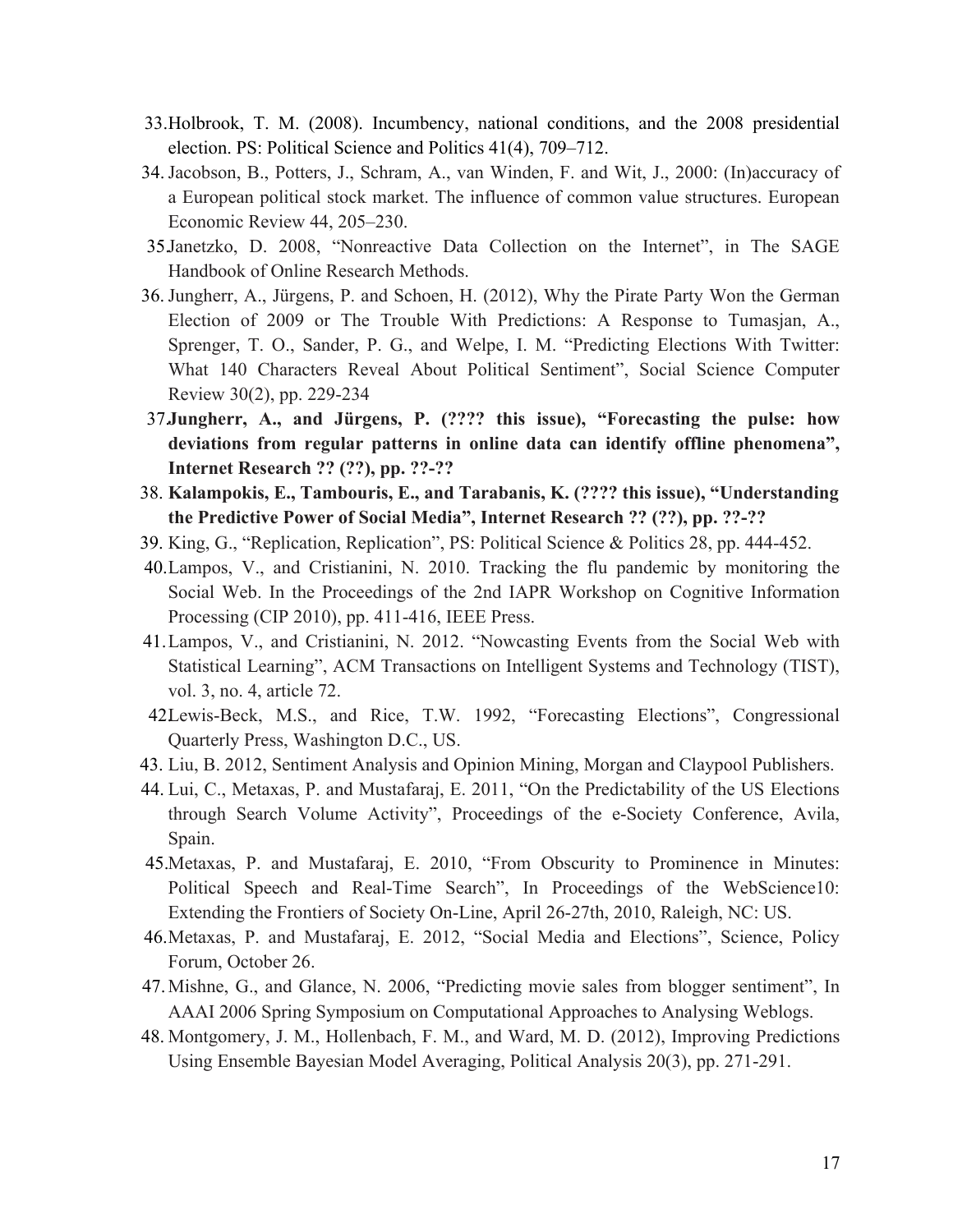- 33.Holbrook, T. M. (2008). Incumbency, national conditions, and the 2008 presidential election. PS: Political Science and Politics 41(4), 709–712.
- 34.Jacobson, B., Potters, J., Schram, A., van Winden, F. and Wit, J., 2000: (In)accuracy of a European political stock market. The influence of common value structures. European Economic Review 44, 205–230.
- 35.Janetzko, D. 2008, "Nonreactive Data Collection on the Internet", in The SAGE Handbook of Online Research Methods.
- 36.Jungherr, A., Jürgens, P. and Schoen, H. (2012), Why the Pirate Party Won the German Election of 2009 or The Trouble With Predictions: A Response to Tumasjan, A., Sprenger, T. O., Sander, P. G., and Welpe, I. M. "Predicting Elections With Twitter: What 140 Characters Reveal About Political Sentiment", Social Science Computer Review 30(2), pp. 229-234
- 37.**Jungherr, A., and Jürgens, P. (???? this issue), "Forecasting the pulse: how deviations from regular patterns in online data can identify offline phenomena", Internet Research ?? (??), pp. ??-??**
- 38. **Kalampokis, E., Tambouris, E., and Tarabanis, K. (???? this issue), "Understanding the Predictive Power of Social Media", Internet Research ?? (??), pp. ??-??**
- 39. King, G., "Replication, Replication", PS: Political Science & Politics 28, pp. 444-452.
- 40.Lampos, V., and Cristianini, N. 2010. Tracking the flu pandemic by monitoring the Social Web. In the Proceedings of the 2nd IAPR Workshop on Cognitive Information Processing (CIP 2010), pp. 411-416, IEEE Press.
- 41.Lampos, V., and Cristianini, N. 2012. "Nowcasting Events from the Social Web with Statistical Learning", ACM Transactions on Intelligent Systems and Technology (TIST), vol. 3, no. 4, article 72.
- 42.Lewis-Beck, M.S., and Rice, T.W. 1992, "Forecasting Elections", Congressional Quarterly Press, Washington D.C., US.
- 43. Liu, B. 2012, Sentiment Analysis and Opinion Mining, Morgan and Claypool Publishers.
- 44. Lui, C., Metaxas, P. and Mustafaraj, E. 2011, "On the Predictability of the US Elections through Search Volume Activity", Proceedings of the e-Society Conference, Avila, Spain.
- 45.Metaxas, P. and Mustafaraj, E. 2010, "From Obscurity to Prominence in Minutes: Political Speech and Real-Time Search", In Proceedings of the WebScience10: Extending the Frontiers of Society On-Line, April 26-27th, 2010, Raleigh, NC: US.
- 46.Metaxas, P. and Mustafaraj, E. 2012, "Social Media and Elections", Science, Policy Forum, October 26.
- 47.Mishne, G., and Glance, N. 2006, "Predicting movie sales from blogger sentiment", In AAAI 2006 Spring Symposium on Computational Approaches to Analysing Weblogs.
- 48. Montgomery, J. M., Hollenbach, F. M., and Ward, M. D. (2012), Improving Predictions Using Ensemble Bayesian Model Averaging, Political Analysis 20(3), pp. 271-291.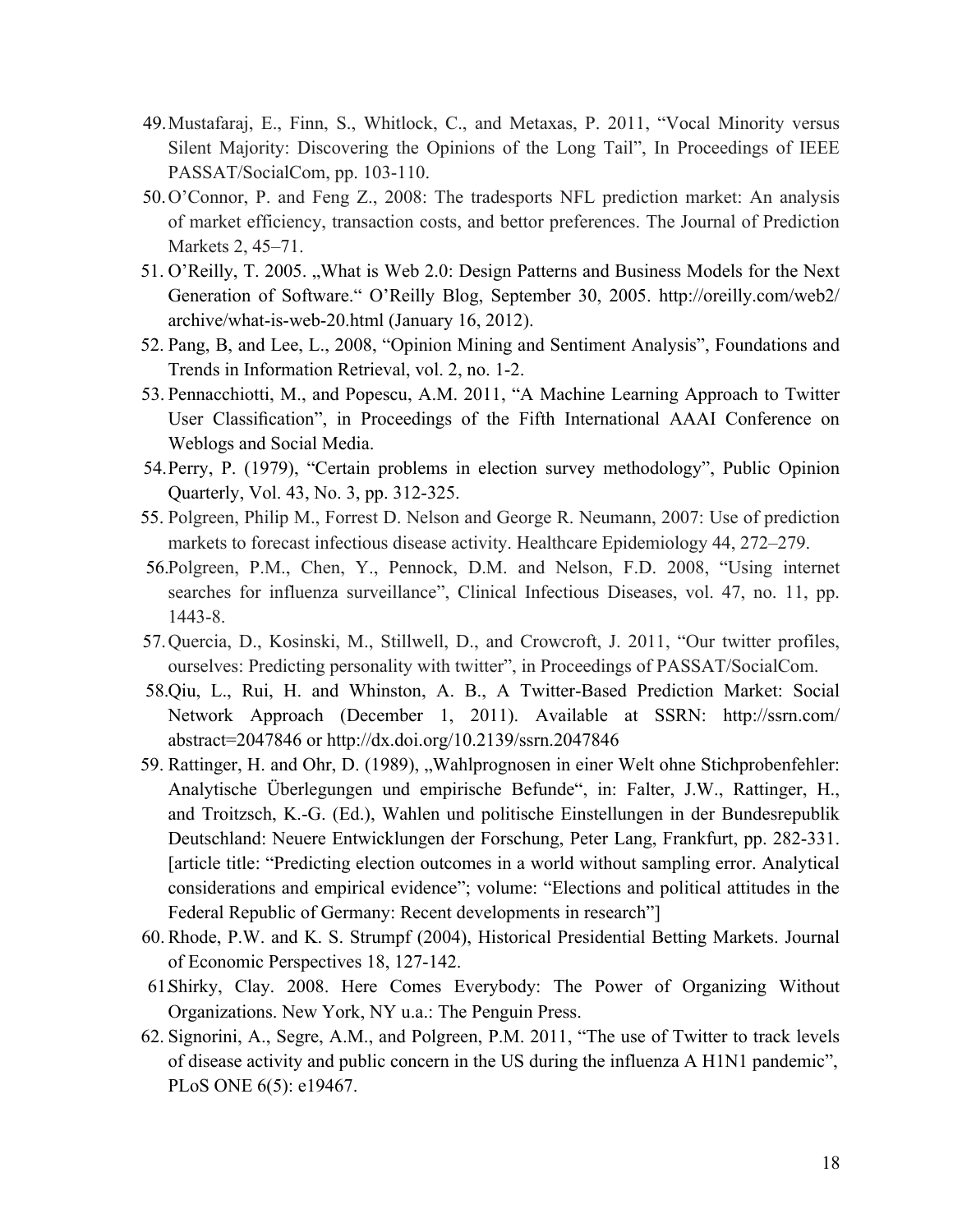- 49.Mustafaraj, E., Finn, S., Whitlock, C., and Metaxas, P. 2011, "Vocal Minority versus Silent Majority: Discovering the Opinions of the Long Tail", In Proceedings of IEEE PASSAT/SocialCom, pp. 103-110.
- 50.O'Connor, P. and Feng Z., 2008: The tradesports NFL prediction market: An analysis of market efficiency, transaction costs, and bettor preferences. The Journal of Prediction Markets 2, 45–71.
- 51. O'Reilly, T. 2005. "What is Web 2.0: Design Patterns and Business Models for the Next Generation of Software." O'Reilly Blog, September 30, 2005. http://oreilly.com/web2/ archive/what-is-web-20.html (January 16, 2012).
- 52. Pang, B, and Lee, L., 2008, "Opinion Mining and Sentiment Analysis", Foundations and Trends in Information Retrieval, vol. 2, no. 1-2.
- 53. Pennacchiotti, M., and Popescu, A.M. 2011, "A Machine Learning Approach to Twitter User Classification", in Proceedings of the Fifth International AAAI Conference on Weblogs and Social Media.
- 54.Perry, P. (1979), "Certain problems in election survey methodology", Public Opinion Quarterly, Vol. 43, No. 3, pp. 312-325.
- 55. Polgreen, Philip M., Forrest D. Nelson and George R. Neumann, 2007: Use of prediction markets to forecast infectious disease activity. Healthcare Epidemiology 44, 272–279.
- 56.Polgreen, P.M., Chen, Y., Pennock, D.M. and Nelson, F.D. 2008, "Using internet searches for influenza surveillance", Clinical Infectious Diseases, vol. 47, no. 11, pp. 1443-8.
- 57.Quercia, D., Kosinski, M., Stillwell, D., and Crowcroft, J. 2011, "Our twitter profiles, ourselves: Predicting personality with twitter", in Proceedings of PASSAT/SocialCom.
- 58.Qiu, L., Rui, H. and Whinston, A. B., A Twitter-Based Prediction Market: Social Network Approach (December 1, 2011). Available at SSRN: http://ssrn.com/ abstract=2047846 or http://dx.doi.org/10.2139/ssrn.2047846
- 59. Rattinger, H. and Ohr, D. (1989), "Wahlprognosen in einer Welt ohne Stichprobenfehler: Analytische Überlegungen und empirische Befunde", in: Falter, J.W., Rattinger, H., and Troitzsch, K.-G. (Ed.), Wahlen und politische Einstellungen in der Bundesrepublik Deutschland: Neuere Entwicklungen der Forschung, Peter Lang, Frankfurt, pp. 282-331. [article title: "Predicting election outcomes in a world without sampling error. Analytical considerations and empirical evidence"; volume: "Elections and political attitudes in the Federal Republic of Germany: Recent developments in research"]
- 60. Rhode, P.W. and K. S. Strumpf (2004), Historical Presidential Betting Markets. Journal of Economic Perspectives 18, 127-142.
- 61.Shirky, Clay. 2008. Here Comes Everybody: The Power of Organizing Without Organizations. New York, NY u.a.: The Penguin Press.
- 62. Signorini, A., Segre, A.M., and Polgreen, P.M. 2011, "The use of Twitter to track levels of disease activity and public concern in the US during the influenza A H1N1 pandemic", PLoS ONE 6(5): e19467.